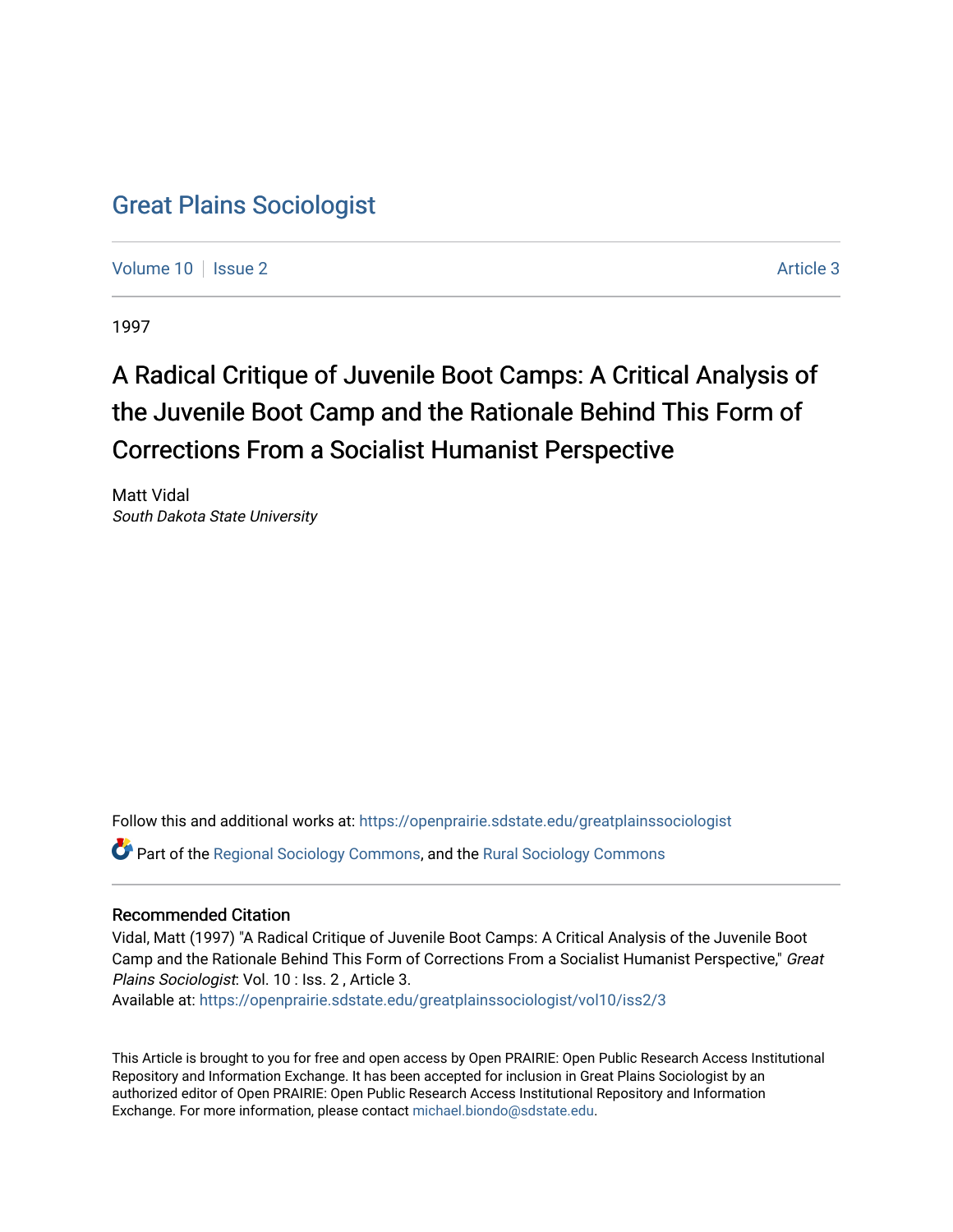## [Great Plains Sociologist](https://openprairie.sdstate.edu/greatplainssociologist)

[Volume 10](https://openprairie.sdstate.edu/greatplainssociologist/vol10) | [Issue 2](https://openprairie.sdstate.edu/greatplainssociologist/vol10/iss2) Article 3

1997

# A Radical Critique of Juvenile Boot Camps: A Critical Analysis of the Juvenile Boot Camp and the Rationale Behind This Form of Corrections From a Socialist Humanist Perspective

Matt Vidal South Dakota State University

Follow this and additional works at: [https://openprairie.sdstate.edu/greatplainssociologist](https://openprairie.sdstate.edu/greatplainssociologist?utm_source=openprairie.sdstate.edu%2Fgreatplainssociologist%2Fvol10%2Fiss2%2F3&utm_medium=PDF&utm_campaign=PDFCoverPages) 

Part of the [Regional Sociology Commons](http://network.bepress.com/hgg/discipline/427?utm_source=openprairie.sdstate.edu%2Fgreatplainssociologist%2Fvol10%2Fiss2%2F3&utm_medium=PDF&utm_campaign=PDFCoverPages), and the [Rural Sociology Commons](http://network.bepress.com/hgg/discipline/428?utm_source=openprairie.sdstate.edu%2Fgreatplainssociologist%2Fvol10%2Fiss2%2F3&utm_medium=PDF&utm_campaign=PDFCoverPages) 

#### Recommended Citation

Vidal, Matt (1997) "A Radical Critique of Juvenile Boot Camps: A Critical Analysis of the Juvenile Boot Camp and the Rationale Behind This Form of Corrections From a Socialist Humanist Perspective," Great Plains Sociologist: Vol. 10 : Iss. 2 , Article 3. Available at: [https://openprairie.sdstate.edu/greatplainssociologist/vol10/iss2/3](https://openprairie.sdstate.edu/greatplainssociologist/vol10/iss2/3?utm_source=openprairie.sdstate.edu%2Fgreatplainssociologist%2Fvol10%2Fiss2%2F3&utm_medium=PDF&utm_campaign=PDFCoverPages)

This Article is brought to you for free and open access by Open PRAIRIE: Open Public Research Access Institutional Repository and Information Exchange. It has been accepted for inclusion in Great Plains Sociologist by an authorized editor of Open PRAIRIE: Open Public Research Access Institutional Repository and Information Exchange. For more information, please contact [michael.biondo@sdstate.edu.](mailto:michael.biondo@sdstate.edu)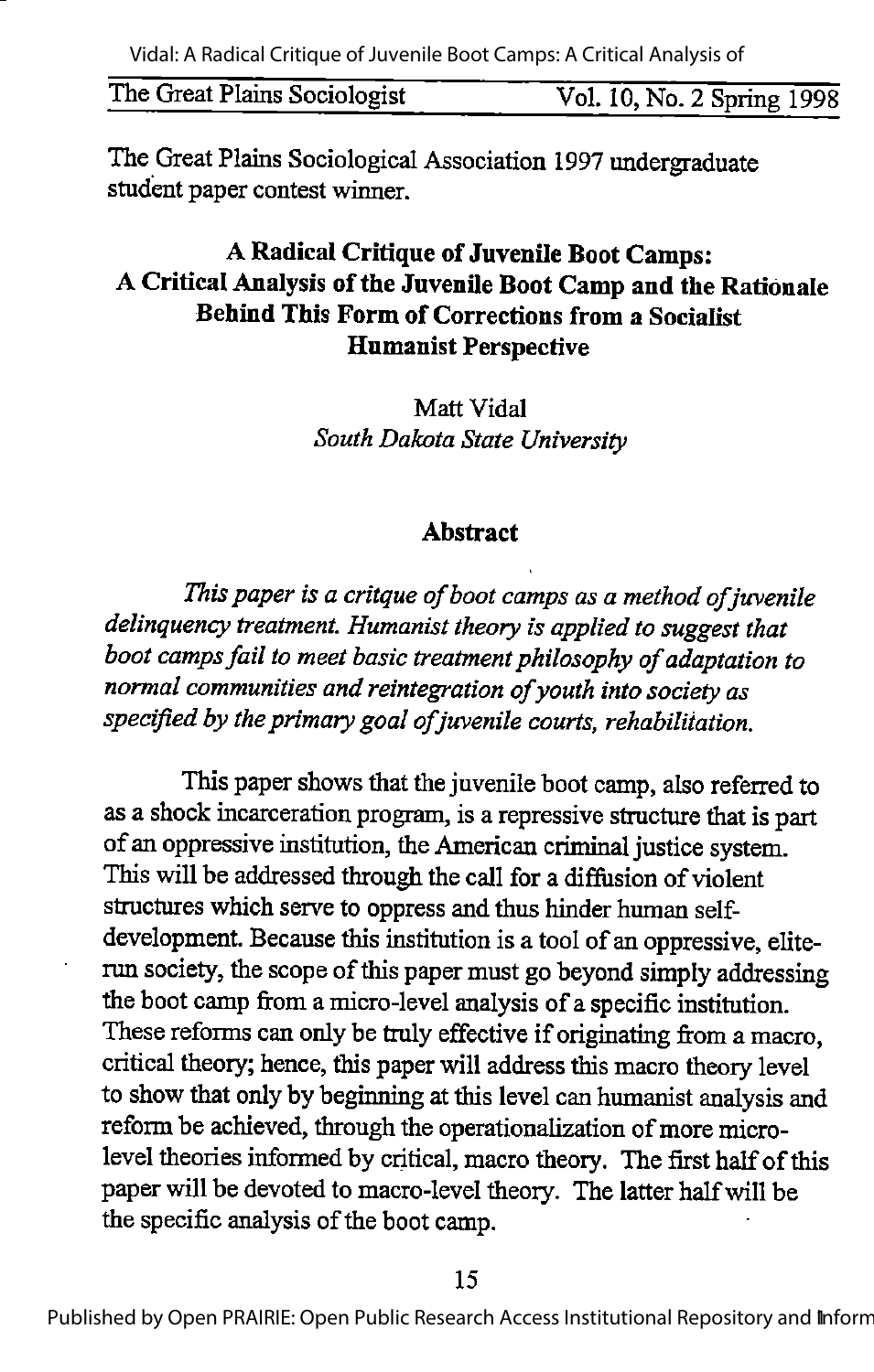The Great Plains Sociologist Vol. 10, No. 2 Spring 1998

The Great Plains Sociological Association 1997 undergraduate student paper contest winner.

### A Radical Critique of Juvenile Boot Camps: A Critical Analysis of the Juvenile Boot Camp and the Rationale Behind This Form of Corrections from a Socialist Humanist Perspective

Matt Vidal South Dakota State University

#### Abstract

This paper is a critque of boot camps as a method of juvenile delinquency treatment. Humanist theory is applied to suggest that boot camps fail to meet basic treatment philosophy of adaptation to normal communities and reintegration of youth into society as specified by the primary goal of juvenile courts, rehabilitation.

This paper shows that the juvenile boot camp, also referred to asa shock incarceration program, is a repressive structure that is part of an oppressive institution, theAmerican criminal justice system. This will be addressed through the call for a diffusion of violent structures which serve to oppress and thus hinder human selfdevelopment. Because this institution is a tool of an oppressive, eliterun society, the scope of this paper must go beyond simply addressing the boot camp from amicro-level analysis of a specific institution. These reforms can only be truly effective if originating from a macro, critical theory; hence, this paper will address this macro theory level to show that only by beginning at this level can humanist analysis and reform be achieved, through the operationalization of more microlevel theories informed by critical, macro theory. The first half of this paper will be devoted to macro-level theory. The latter half will be the specific analysis of the boot camp.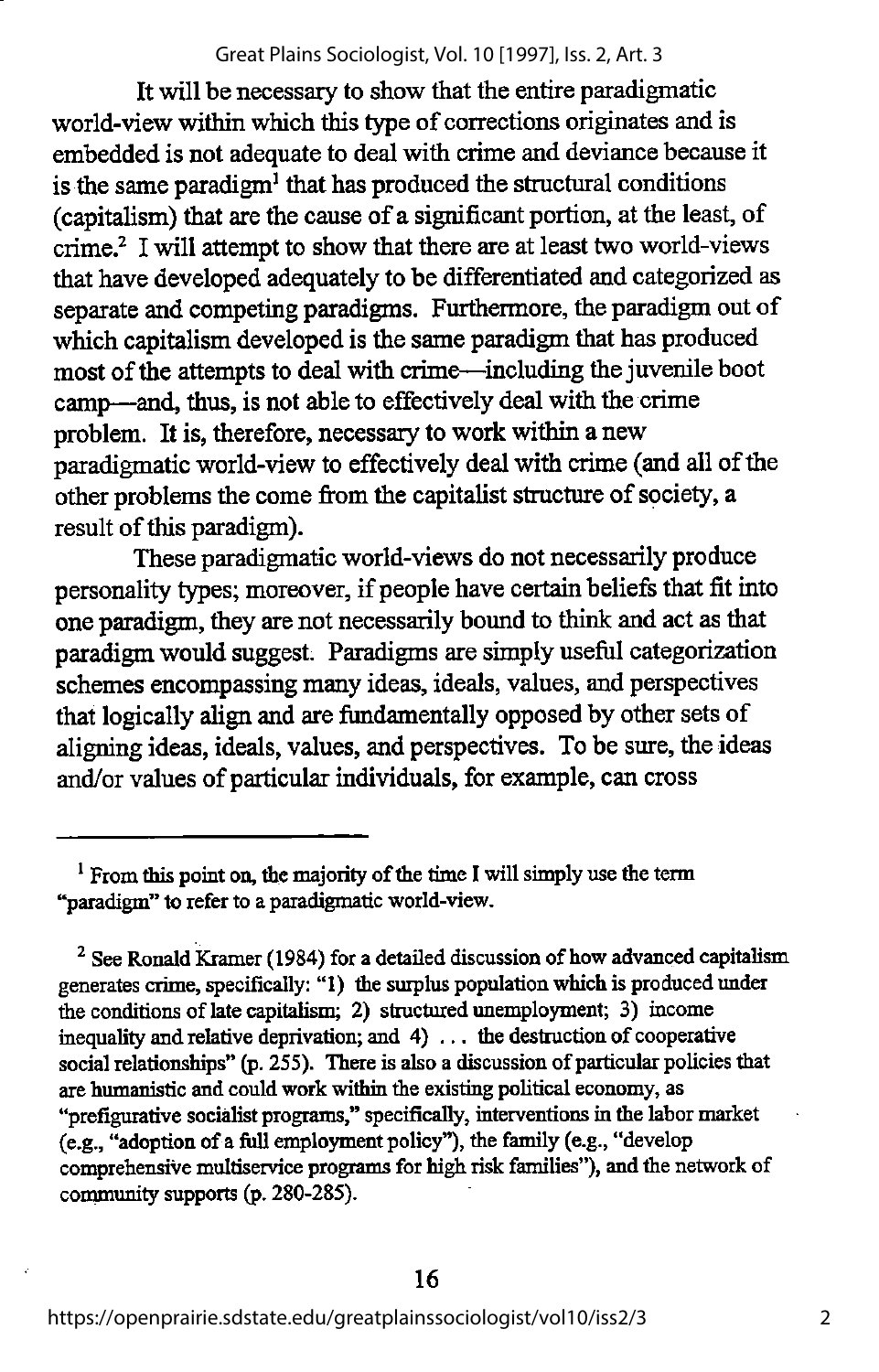#### Great Plains Sociologist, Vol. 10 [1997], Iss. 2, Art. 3

It will be necessary to show that the entire paradigmatic world-view within which this type of corrections originates and is embedded is not adequate to deal with crime and deviance because it is the same paradigm<sup>1</sup> that has produced the structural conditions (capitalism) that are the cause of a significant portion, at the least, of crime.<sup>2</sup> I will attempt to show that there are at least two world-views that have developed adequately to be differentiated and categorized as separate and competing paradigms. Furthermore, the paradigm out of which capitalism developed is the same paradigm that has produced most of the attempts to deal with crime—including the juvenile boot camp—and, thus, is not able to effectively deal with the crime problem. It is, therefore, necessary to work within a new paradigmatic world-view to effectively dealwith crime (andall of the other problems the come from the capitalist structure of society, a result of this paradigm).

These paradigmatic world-views do not necessarily produce personality types; moreover, if people have certain beliefs that fit into one paradigm, they are not necessarily bound to think and act as that paradigmwould suggest. Paradigms aresimply useful categorization schemes encompassing many ideas, ideals, values, and perspectives that logically align and are fundamentally opposed by other sets of aligning ideas, ideals, values, and perspectives. To be sure, the ideas and/or values of particular individuals, for example, can cross

 $2$  See Ronald Kramer (1984) for a detailed discussion of how advanced capitalism generates crime, specifically: "1) the surplus population which is produced under the conditions of late capitalism; 2) structured unemployment; 3) income inequality and relative deprivation; and 4) ... the destruction of cooperative social relationships" (p. 255). There is also a discussion of particular policies that are humanistic and could work within the existing political economy, as "prefigurative socialist programs," specifically, interventions in the labor market  $(e.g., "adoption of a full employment policy"),$  the family  $(e.g., "develop$ comprehensive multiservice programs for high risk families"), and the network of community supports (p. 280-285).

<sup>&</sup>lt;sup>1</sup> From this point on, the majority of the time I will simply use the term "paradigm" to refer to a paradigmatic world-view.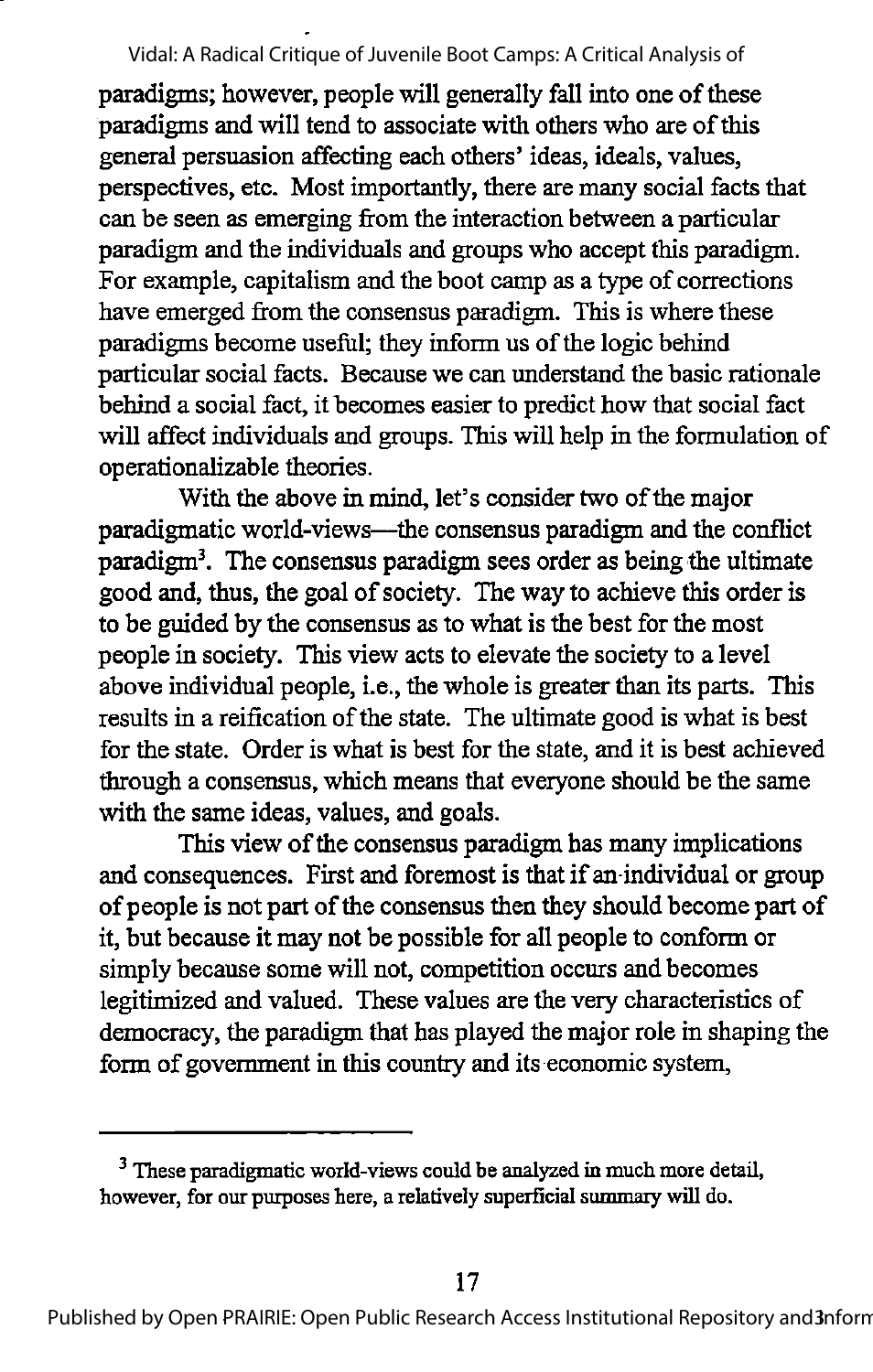paradigms; however, people will generally fall into one of these paradigms and will tend to associate with others who are of this general persuasion affecting each others' ideas, ideals, values, perspectives, etc. Most importantly, there are many social facts that can be seen as emerging from the interaction between a particular paradigm and the individuals and groups who accept this paradigm. For example, capitalism and the boot camp as a type of corrections have emerged from the consensus paradigm. This is where these paradigms become useful; they inform us of the logic behind particular social facts. Because we can imderstand the basic rationale behind a social fact, it becomes easier to predict how that social fact will affect individuals and groups. This will help in the formulation of operationalizable theories.

With the above in mind, let's consider two of the major paradigmatic world-views—^the consensus paradigm and the conflict paradigm<sup>3</sup>. The consensus paradigm sees order as being the ultimate good and, thus, the goal of society. The way to achieve this order is to be guided by the consensus as to what is the best for the most people in society. This view acts to elevate the society to a level above individual people, i.e., the whole is greater than its parts. This results in a reification of the state. The ultimate good is what is best for the state. Order is what is best for the state, and it is best achieved through a consensus, which means that everyone should be the same with the same ideas, values, and goals.

This view of the consensus paradigm has many implications and consequences. First and foremost is that if an individual or group of people is not part of the consensus then they should become part of it, but because it may not be possible for all people to conform or simply because some will not, competition occurs and becomes legitimized and valued. These values are the very characteristics of democracy, the paradigm that has played the major role in shaping the form of government in this country and its economic system.

 $3$  These paradigmatic world-views could be analyzed in much more detail, however, for our purposes here, a relatively superficial summary will do.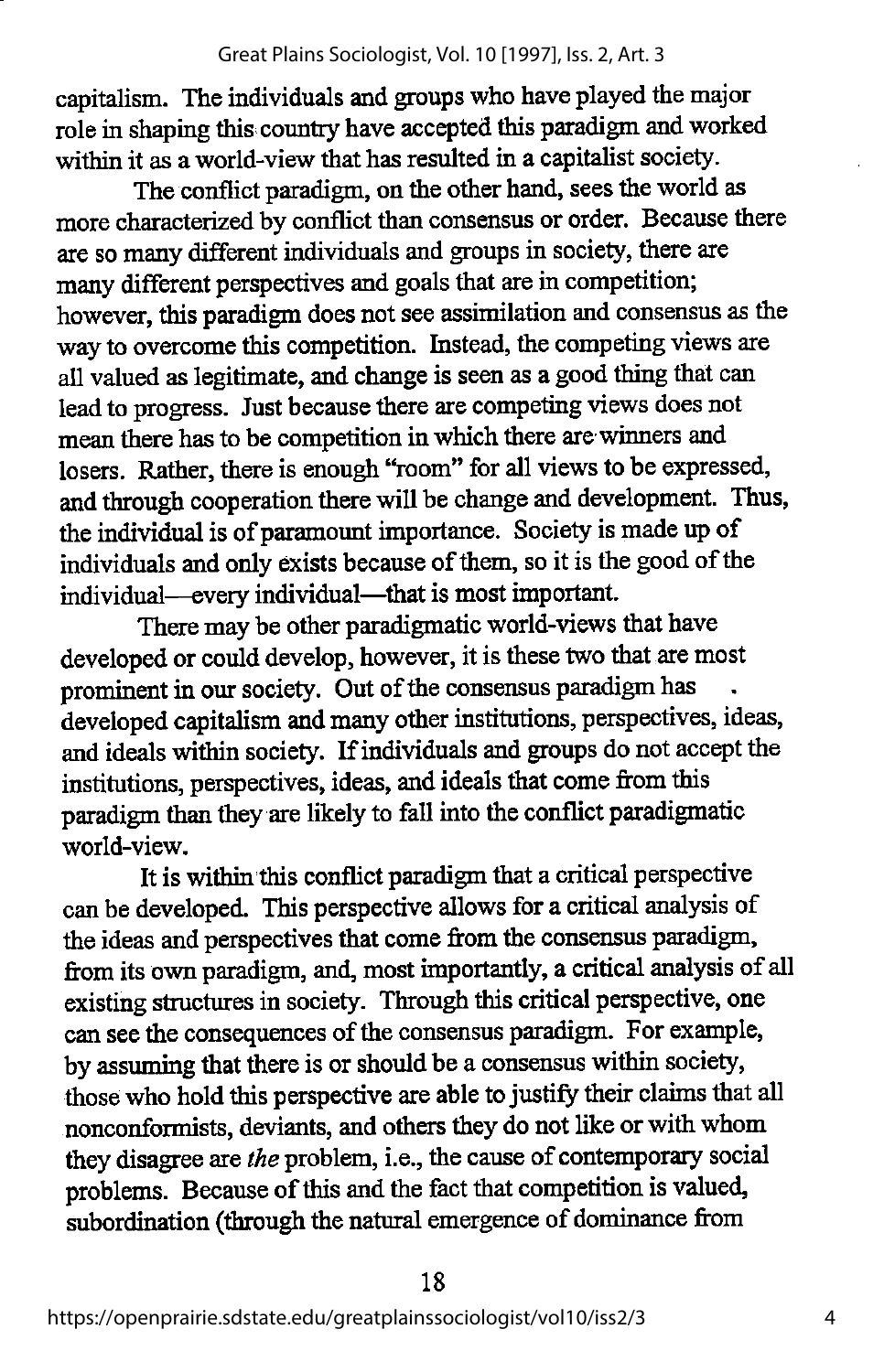capitalism. The individuals and groups who have played the major role in shaping this country have accepted this paradigm and worked within it as a world-view that has resulted in a capitalist society.

The conflict paradigm, on the other hand, sees the world as more characterized by conflict than consensus or order. Because there are so many different individuals and groups in society, there are many different perspectives and goals that are in competition; however, this paradigm does not see assimilation and consensus as the way to overcome this competition. Instead, the competing views are all valued as legitimate, and change is seen as a good thing that can lead to progress. Just because there are competing views does not mean there has to be competition in which there are winners and losers. Rather, there is enough "room" for all views to be expressed, and through cooperation there will be change and development. Thus, the individual is of paramount importance. Society is made up of individuals and only exists because of them, so it is the good of the individual—every individual—that is most important.

There may be other paradigmatic world-views that have developed or could develop, however, it is these two that are most prominent in our society. Out of the consensus paradigm has developed capitalism and many other institutions, perspectives, ideas, and ideals within society. If individuals and groups do not accept the institutions, perspectives, ideas, and ideals that come from this paradigm than they are likely to fall into theconflict paradigmatic world-view.

It is within this conflict paradigm that a critical perspective canbe developed. This perspective allows fora critical analysis of the ideas and perspectives that come from the consensus paradigm, from its ownparadigm, and, most importantly, a critical analysis of all existing structures in society. Through this critical perspective, one can seethe consequences of the consensus paradigm. For example, by assuming that there is or should be a consensus within society, those who hold this perspective are able to justify their claims that all nonconformists, deviants, and others they do not like or with whom they disagree are the problem, i.e., the cause of contemporary social problems. Because of this and the fact that competition is valued, subordination (through the natural emergence of dominance from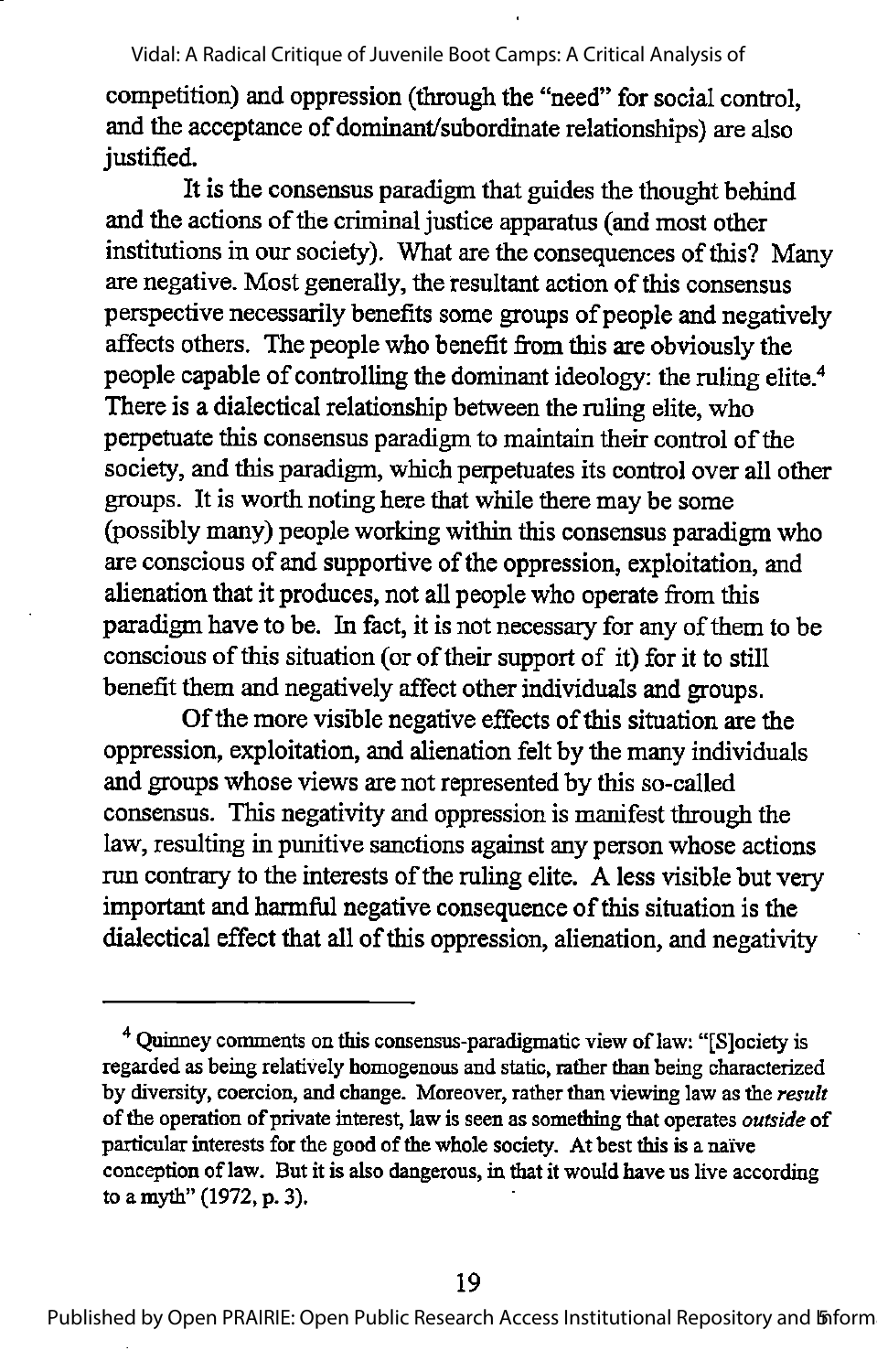competition) and oppression (through the "need" for social control, and the acceptance of dominant/subordinate relationships) are also justified.

It is the consensus paradigm that guides the thought behind and the actions of the criminal justice apparatus (and most other institutions in our society). What are the consequences of this? Many are negative. Most generally, the resultant action of this consensus perspective necessarily benefits some groups of people and negatively affects others. The people who benefit from this are obviously the people capable of controlling the dominant ideology: the ruling elite.<sup>4</sup> There is a dialectical relationship between the ruling elite, who perpetuate this consensus paradigm to maintain their control of the society, and this paradigm, which perpetuates its control over all other groups. It is worth noting here that while there may be some (possibly many) people working within this consensus paradigm who are conscious of and supportive of the oppression, exploitation, and alienation that it produces, not all people who operate from this paradigm have to be. In fact, it is not necessary for any of them to be conscious of this situation (or of their support of it) for it to still benefit them and negatively affect other individuals and groups.

Of the more visible negative effects of this situation are the oppression, exploitation, and alienation felt by the many individuals and groups whose views are not represented by this so-called consensus. This negativity and oppression is manifest through the law, resulting in punitive sanctions against any person whose actions run contrary to the interests of the ruling elite. A less visible but very important and harmful negative consequence of this situation is the dialectical effect that all of this oppression, alienation, and negativity

<sup>&</sup>lt;sup>4</sup> Ouinney comments on this consensus-paradigmatic view of law: "[S]ociety is regarded as being relatively homogenous and static, rather than being characterized by diversity, coercion, and change. Moreover, rather than viewing law as the result of the operation of private interest, law is seen as something that operates *outside* of particular interests for the good of the whole society. At best this is a naïve conception oflaw. But it is also dangerous, in that it would have us live according to a myth" (1972, p. 3).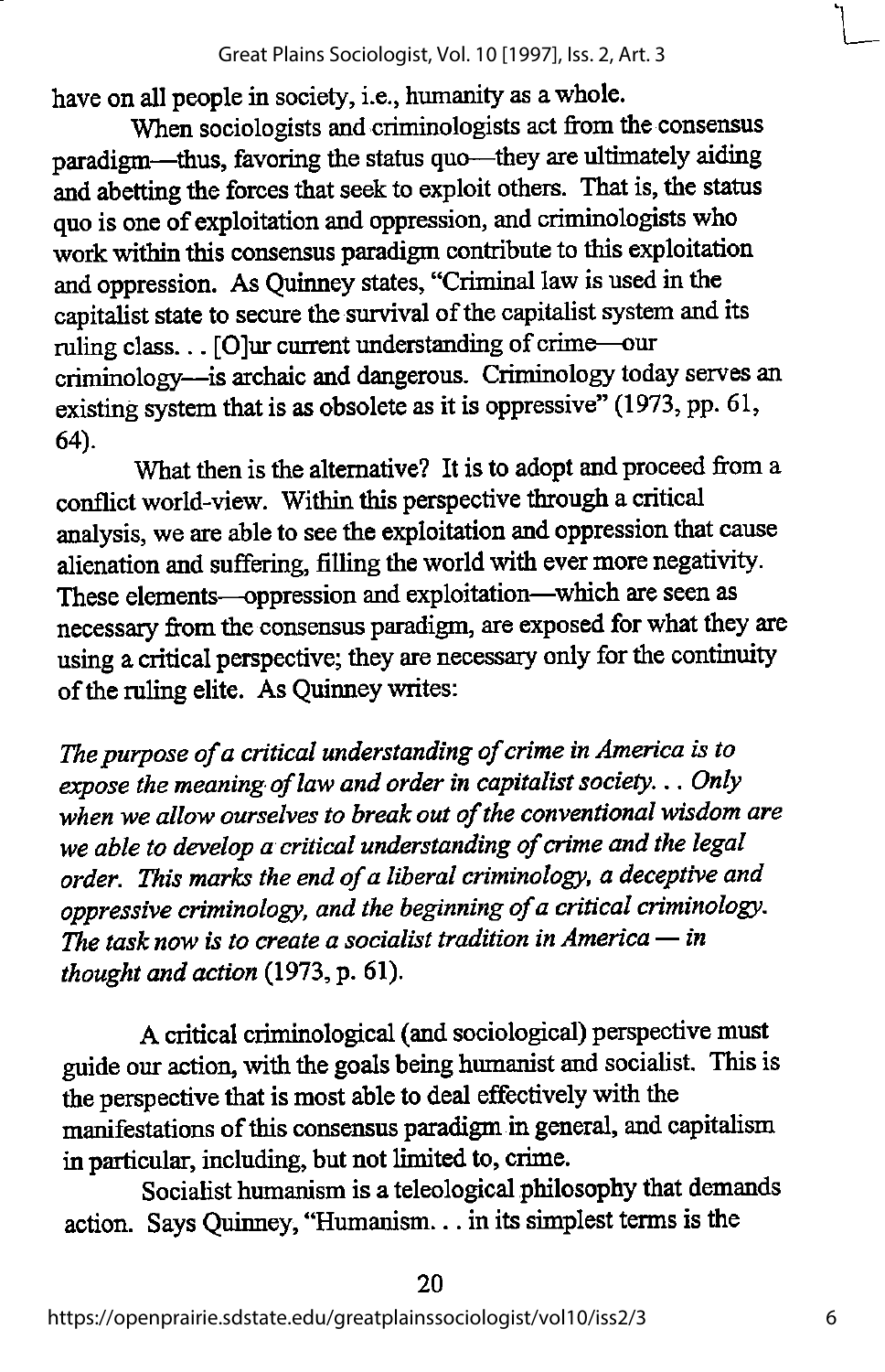have on all people in society, i.e., humanity as a whole.

When sociologists and criminologists act from the consensus paradigm—^thus, favoring the status quo—^they are ultimately aiding and abetting the forces that seek to exploit others. That is, the status quo is one of exploitation and oppression, and criminologists who work within this consensus paradigm contribute to this exploitation and oppression. As Quinney states, "Criminal law is used in the capitalist state to secure the survival of the capitalist system and its ruling class... [0]ur current understanding of crime—our criminology—^is archaic and dangerous. Criminology today serves an existing system that is as obsolete as it is oppressive" (1973, pp. 61, 64).

What then is the alternative? It is to adopt and proceed from a conflict world-view. Within this perspective through a critical analysis, we are able to see the exploitation and oppression that cause alienation and suffering, filling the world with ever more negativity. These elements—oppression and exploitation—which are seen as necessary from the consensus paradigm, are exposed for what they are using a critical perspective; they are necessary only for the continuity of the ruling elite. As Quinney writes:

The purpose of a critical understanding of crime in America is to expose the meaning of law and order in capitalist society... Only when we allow ourselves to break out of the conventional wisdom are we able to develop a critical understanding of crime and the legal order. This marks the end of a liberal criminology, a deceptive and oppressive criminology, and the beginning of a critical criminology. The task now is to create a socialist tradition in America  $-$  in thought and action  $(1973, p. 61)$ .

A critical criminological (and sociological) perspective must guide our action, with the goals being humanist and socialist. This is the perspective that is most able to deal effectively with the manifestations of this consensus paradigm in general, and capitahsm in particular, including, but not limited to, crime.

Socialist humanism is a teleological philosophy that demands action. Says Quinney, "Humanism... in its simplest terms is the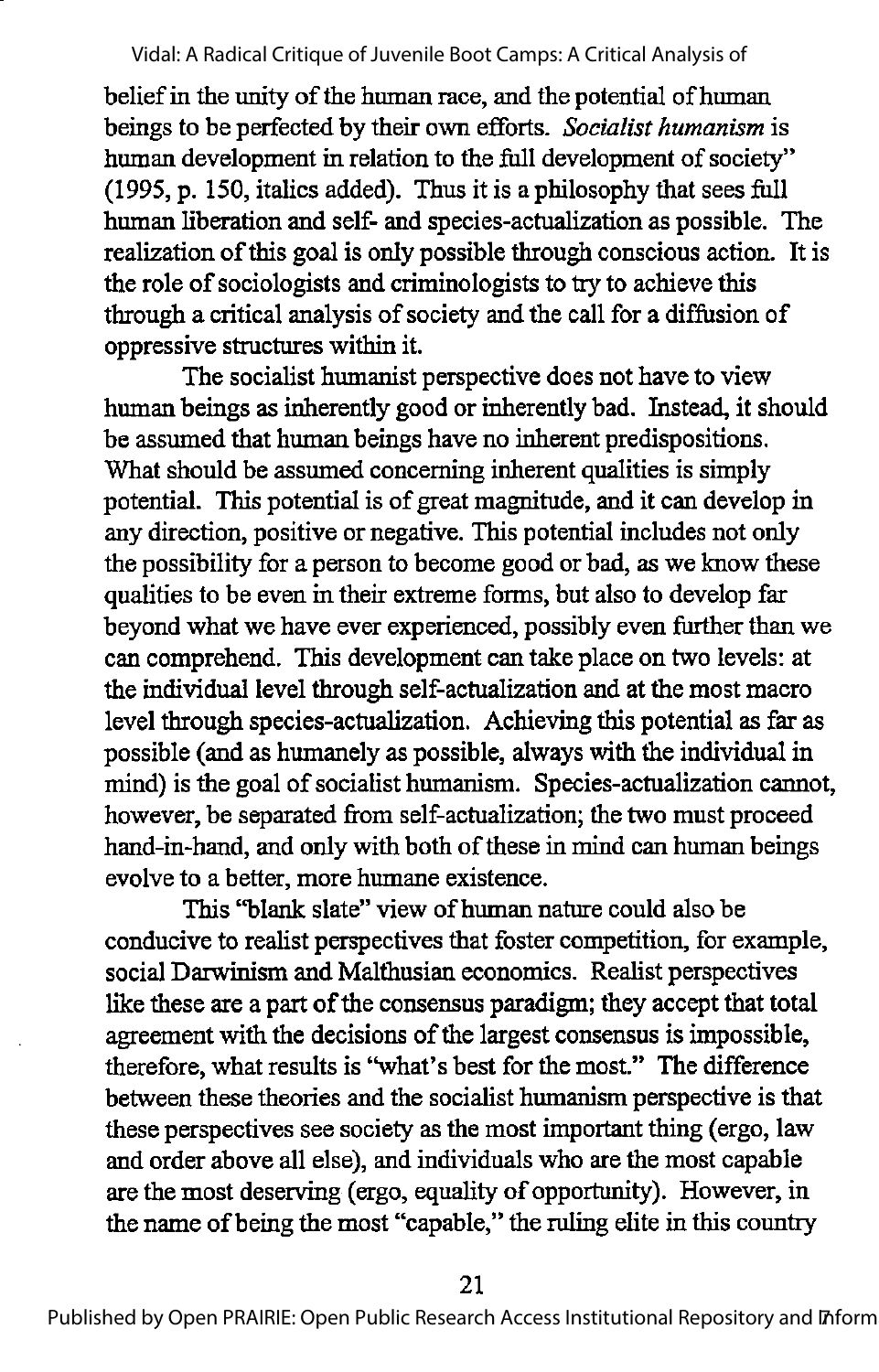belief in the unity of the human race, and the potential of human beings to be perfected by their own efforts. Socialist humanism is human development in relation to the full development of society" (1995, p. 150, italics added). Thus it is a philosophy that sees full human liberation and self- and species-actualization as possible. The realization ofthis goal is only possible through conscious action. It is the role of sociologists and criminologists to try to achieve this through a critical analysis of society and the call for a diffusion of oppressive structures within it.

The socialist humanist perspective does not have to view human beings as inherently good or inherently bad. Instead, it should be assumed that human beings have no inherent predispositions. What should be assumed concerning inherent qualities is simply potential. This potential is of great magnitude, and it can develop in any direction, positive or negative. This potential includes not only the possibility for a person to become good or bad, as we know these qualities to be even in their extreme forms, but also to develop far beyond what we have ever experienced, possibly even further than we can comprehend. This development can take place on two levels: at the individual level through self-actualization and at the most macro level through species-actualization. Achieving this potential as far as possible (and as humanely as possible, always with the individual in mind) is the goal of socialist humanism. Species-actualization cannot, however, be separated from self-actualization; the two must proceed hand-in-hand, and only with both of these in mind can human beings evolve to a better, more humane existence.

This "blank slate" view of human nature could also be conducive to realist perspectives that foster competition, for example, social Darwinism and Malthusian economics. Realist perspectives like these are a part of the consensus paradigm; they accept that total agreement with the decisions of the largest consensus is impossible, therefore, what results is "what's best for the most." The difference between these theories and the socialist humanism perspective is that these perspectives see society as the most important thing (ergo, law and order above all else), and individuals who are the most capable are the most deserving (ergo, equality of opportunity). However, in the name ofbeing the most "capable," the ruling elite in this country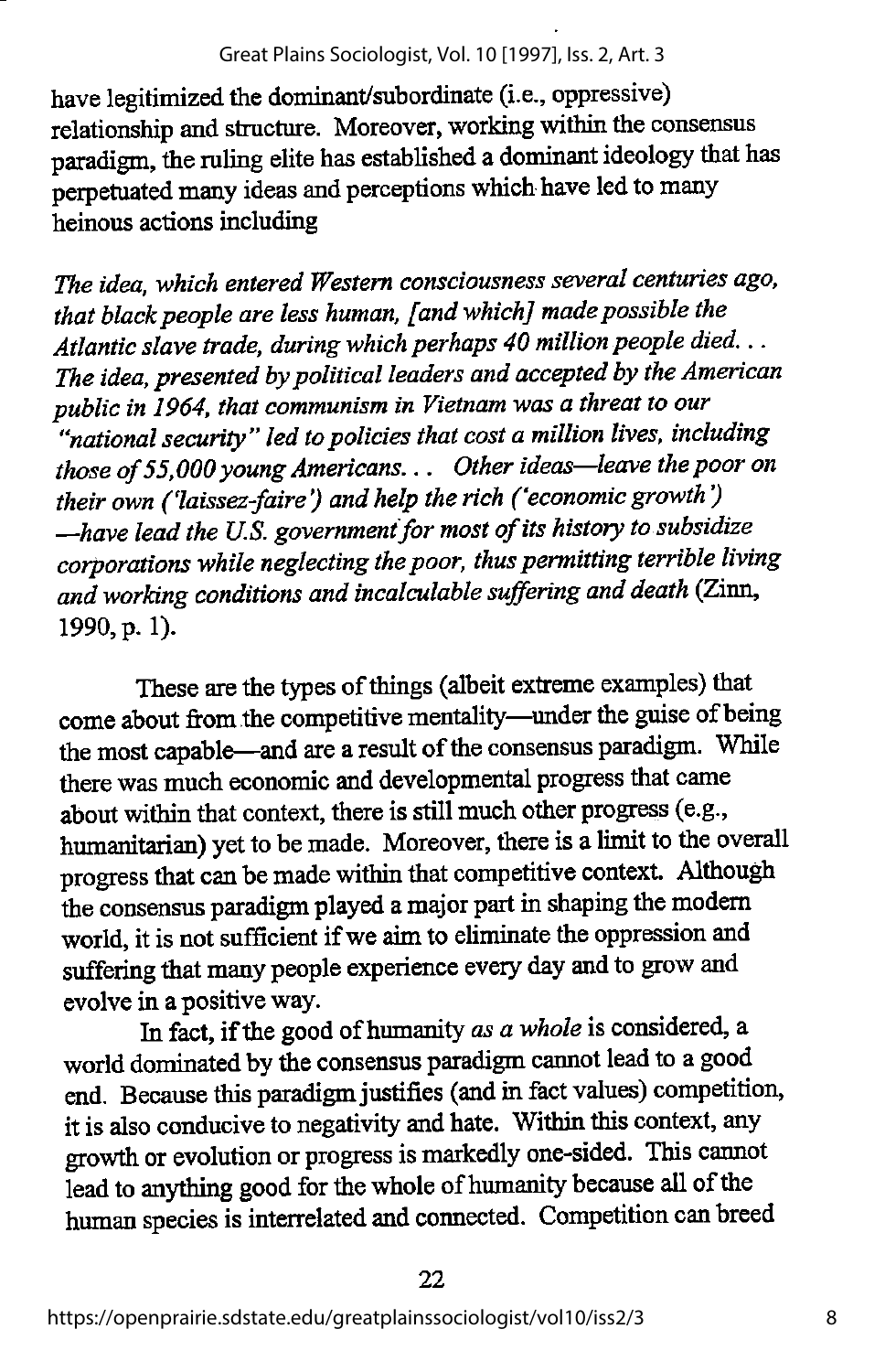have legitimized the dominant/subordinate (i.e., oppressive) relationship and structure. Moreover, working within the consensus paradigm, the ruling elite has established a dominant ideology that has perpetuated many ideas and perceptions which have led to many heinous actions including

The idea, which entered Western consciousness several centuries ago, that black people are less human, [and which] made possible the Atlantic slave trade, during which perhaps 40 million people died... The idea, presented by political leaders and accepted by the American public in 1964, that communism in Vietnam was a threat to our "national security" led to policies that cost a million lives, including those of 55,000 young Americans... Other ideas—leave the poor on their own ('laissez-faire') and help the rich ('economic growth')  $-\hbox{have lead the U.S. government for most of its history to subsidize}$ corporations while neglecting the poor, thus permitting terrible living and working conditions and incalculable suffering and death (Zinn, 1990, p. 1).

These are the types of things (albeit extreme examples) that come about from the competitive mentality—under the guise ofbeing the most capable—and are a result of the consensus paradigm. While therewas much economic and developmental progress that came about within that context, there is still much other progress (e.g., humanitarian) yet to be made. Moreover, there is a limit to the overall progress that can be made within that competitive context. Although the consensus paradigm played a major part in shaping the modern world, it is not sufficient if we aim to eliminate the oppression and suffering that many people experience every day and to grow and evolve in a positive way.

In fact, if the good of humanity as a whole is considered, a world dominated by the consensus paradigm cannot lead to a good end. Because this paradigm justifies (and in fact values) competition, it is also conducive to negativity and hate. Within this context, any growth or evolution or progress is markedly one-sided. This cannot lead to anything good for the whole of humanity because all of the human species is interrelated and connected. Competition can breed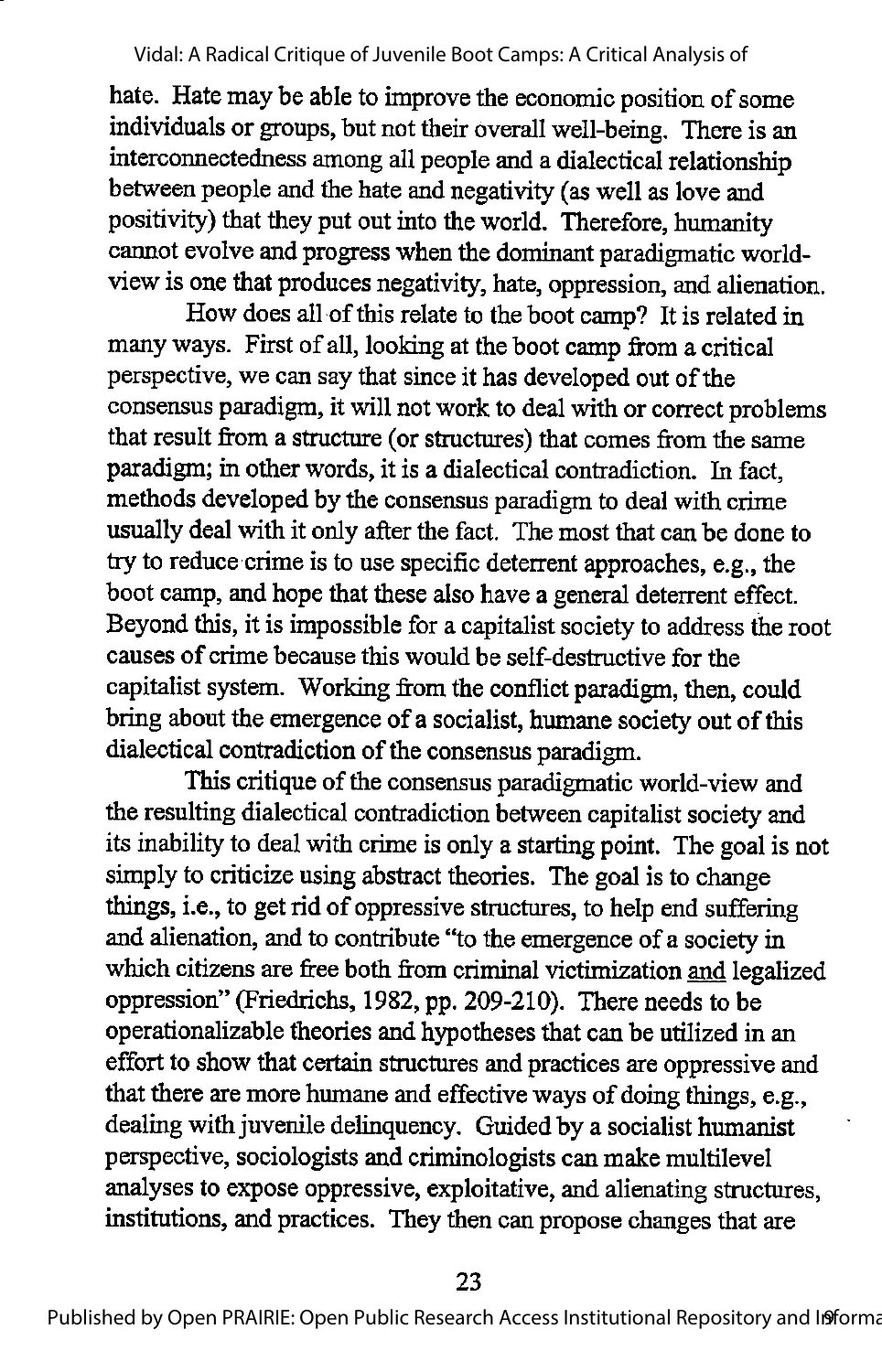hate. Hate may be able to improve the economic position of some individuals or groups, but not their overall well-being. There is an interconnectedness among all people and a dialectical relationship between people and the hate and negativity (as well as love and positivity) that they put out into the world. Therefore, humanity cannot evolve and progress when the dominant paradigmatic worldview is one that produces negativity, hate, oppression, and alienation.

How does all of this relate to the boot camp? It is related in many ways. First of all, looking at the boot camp from a critical perspective, we can say that since it has developed out of the consensus paradigm, it will not work to deal with or correct problems that result from a structure (or structures) that comes from the same paradigm; in other words, it is a dialectical contradiction. In fact, methods developed by the consensus paradigm to deal with crime usually deal with it only after the fact. The most that can be done to try to reduce crime is to use specific deterrent approaches, e.g., the boot camp, and hope that these also have a general deterrent effect. Beyond this, it is impossible for a capitalist society to address the root causes of crime because this would be self-destructive for the capitalist system. Working from the conflict paradigm, then, could bring about the emergence of a socialist, humane society out of this dialectical contradiction of the consensus paradigm.

This critique of the consensus paradigmatic world-view and the resulting dialectical contradiction between capitalist society and its inability to deal with crime is only a starting point. The goal is not simply to criticize using abstract theories. The goal is to change things, i.e., to get rid of oppressive structures, to help end suffering and alienation, and to contribute "to the emergence of a societyin which citizens are free both from criminal victimization and legalized oppression" (Friedrichs, 1982, pp. 209-210). There needs to be operationalizable theories and hypotheses that can be utilized in an effort to show that certain structures and practices are oppressive and that there are more humane and effective ways of doing things, e.g., dealing with juvenile delinquency. Guided by a socialist humanist perspective, sociologists and criminologists can make multilevel analyses to expose oppressive, exploitative, and alienating structures, institutions, and practices. They then can propose changes that are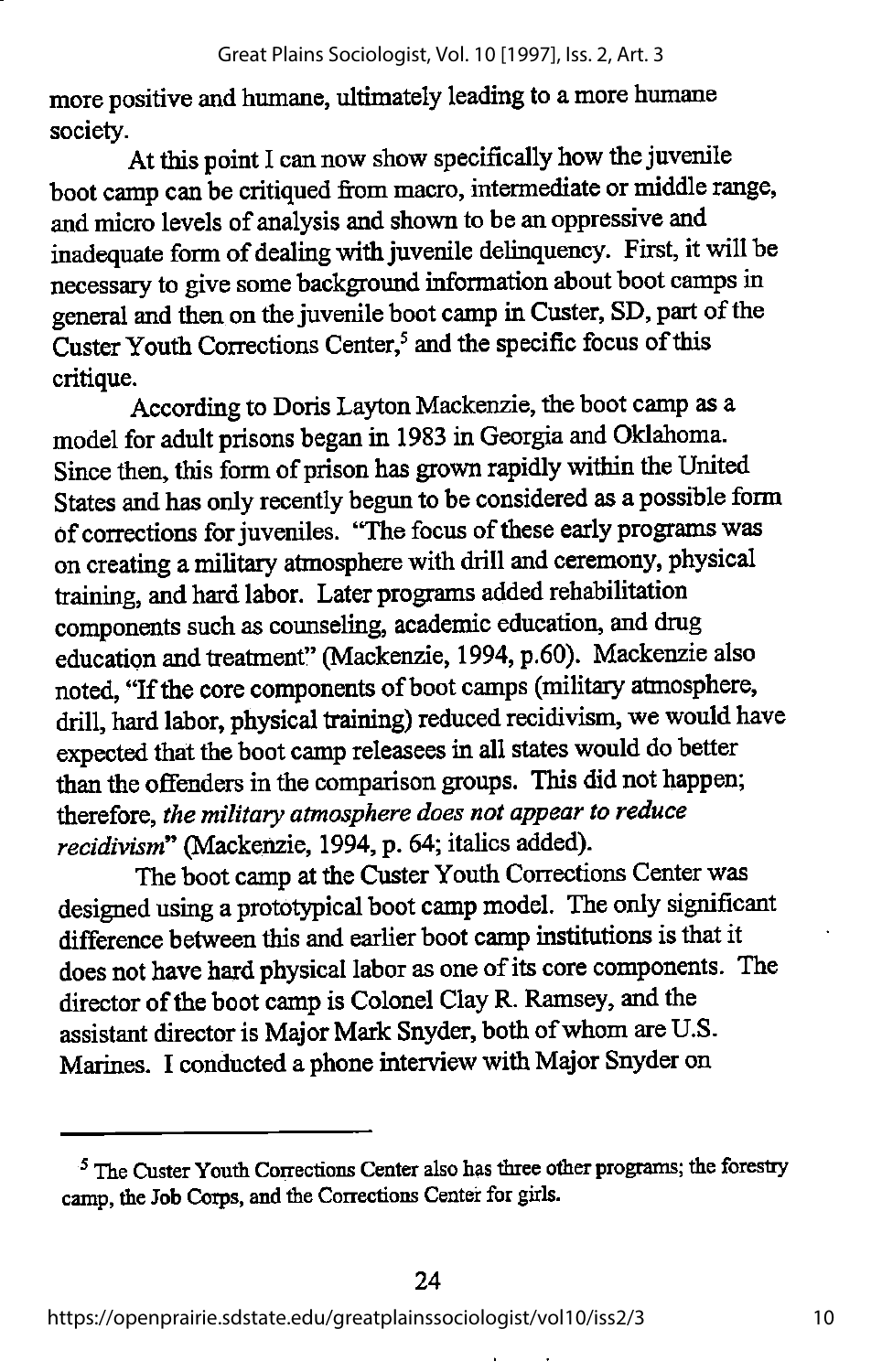more positive and humane, ultimately leading to a more humane society.

At this point I can now show specifically how the juvenile boot camp can be critiqued from macro, intermediate or middle range, andmicro levels of analysis and shown to be an oppressive and inadequate form of dealing with juvenile delinquency. First, it will be necessary to give some background information about bootcamps in general and then on the juvenile boot camp in Custer, SD, part of the Custer Youth Corrections Center, $<sup>5</sup>$  and the specific focus of this</sup> critique.

According to Doris Layton Mackenzie, the boot camp as a model for adult prisons began in 1983 in Georgia and Oklahoma. Since then, this form of prison has grown rapidly within the United States and has only recently begun to be considered as a possible form of corrections for juveniles. "The focus of these early programs was on creating a military atmosphere with drill and ceremony, physical training, andhard labor. Later programs added rehabilitation components such as counseling, academic education, and drug education and treatment" (Mackenzie, 1994, p.60). Mackenzie also noted, "If the core components of boot camps (military atmosphere, drill, hard labor, physical training) reduced recidivism, wewould have expected that the boot camp releasees in all states would do better than the offenders in the comparison groups. This did not happen; therefore, the military atmosphere does not appear to reduce recidivism" (Mackenzie, 1994, p. 64; italics added).

The boot camp at the Custer Youth Corrections Center was designed using a prototypical boot camp model. The only significant difference between this and earlier boot camp institutions is that it does not have hard physical labor as one of its core components. The director of the boot camp is Colonel Clay R. Ramsey, and the assistant director is Major Mark Snyder, both of whom are U.S. Marines. I conducted a phone interview with Major Snyder on

<sup>&</sup>lt;sup>5</sup> The Custer Youth Corrections Center also has three other programs; the forestry camp, the Job Corps, and the Corrections Center for girls.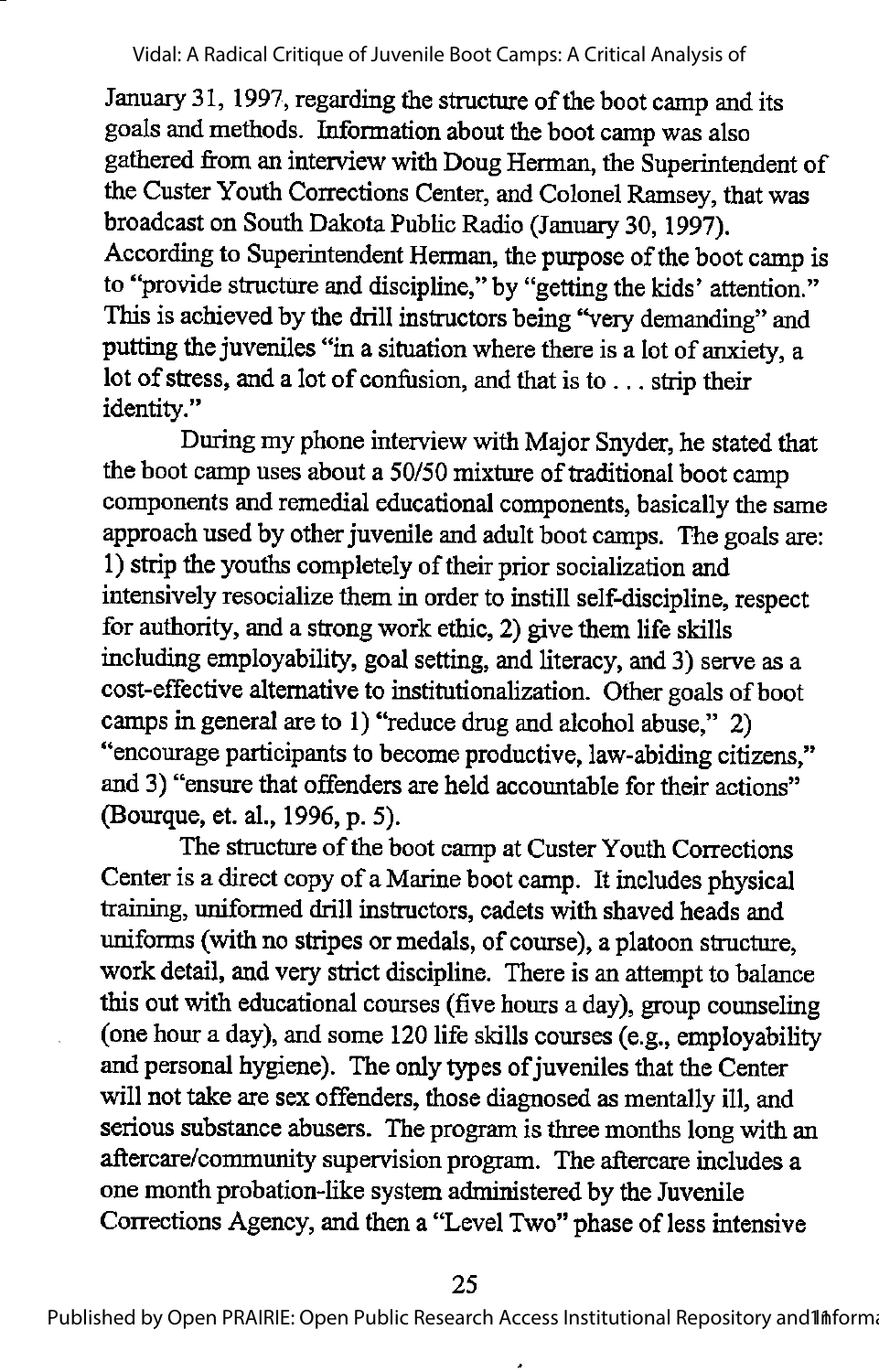January 31, 1997, regarding the structure of the boot camp and its goals and methods. Information about the boot camp was also gathered from an interview with Doug Herman, the Superintendent of the Custer Youth Corrections Center, and Colonel Ramsey, that was broadcast on South Dakota Public Radio (January 30, 1997). According to Superintendent Herman, the purpose of the boot camp is to "provide structure and discipline,"by "getting the kids' attention." This is achieved by the drill instructors being "very demanding" and putting the juveniles "in a situation where there is a lot of anxiety, a lot of stress, and a lot of confusion, and that is to . . . strip their identity."

During my phone interview with Major Snyder, he stated that the boot camp uses about a 50/50 mixture of traditional boot camp components and remedial educational components, basically the same approach used by other juvenile and adult boot camps. The goals are: 1) strip the youths completely of their prior socialization and intensively resocialize them in order to instill self-discipline, respect for authority, and a strong work ethic, 2) give them life skills including employability, goal setting, and literacy, and 3) serve as a cost-effective alternative to institutionalization. Other goals of boot camps in general are to 1) "reduce drug and alcohol abuse," 2) "encourage participants to become productive, law-abiding citizens," and 3) "ensure that offenders are held accountable for their actions" (Bourque, et. al., 1996, p. 5).

The structure of the boot camp at Custer Youth Corrections Center is a direct copy of a Marine boot camp. It includes physical training, uniformed drill instructors, cadets with shaved heads and uniforms (with no stripes or medals, of course), a platoon structure, work detail, and very strict discipline. There is an attempt to balance this out with educational courses (five hours a day), group counseling (one hour a day), and some 120 life skills courses (e.g., employability and personal hygiene). The only types of juveniles that the Center will not take are sex offenders, those diagnosed as mentally ill, and serious substance abusers. The program is three months long with an aftercare/community supervision program. The aftercare includes a one month probation-like systemadministered by the Juvenile Corrections Agency, and then a "Level Two" phase of less intensive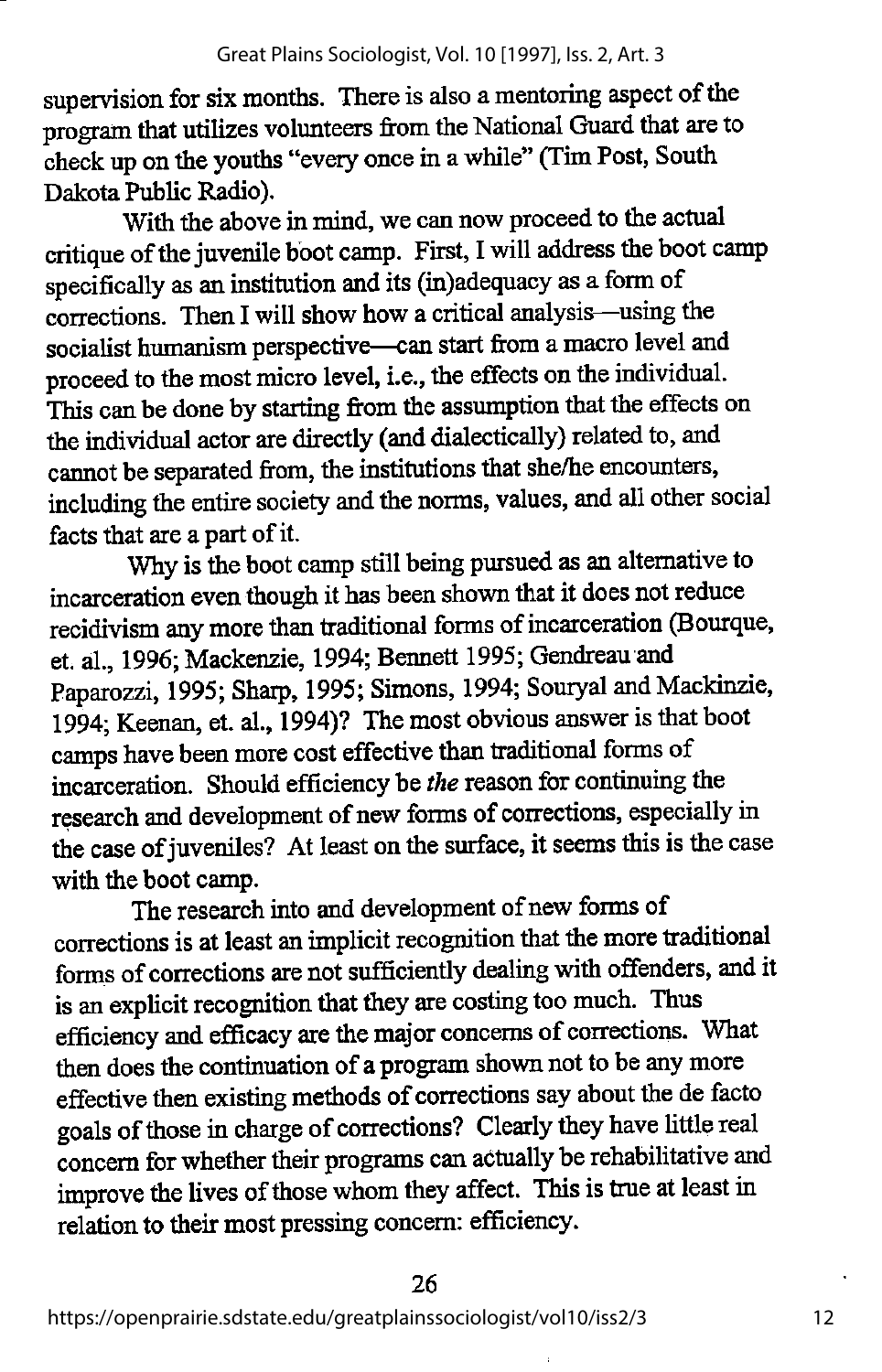supervision for six months. There is also a mentoring aspect of the program that utilizes volimteers from the National Guard that are to check up on the youths "every once in a while" (Tim Post, South Dakota Public Radio).

With the above in mind, we can now proceed to the actual critique of the juvenile boot camp. First, I will address the boot camp specifically as an institution and its (in)adequacy as a form of corrections. Then I will show how a critical analysis—^using the socialist humanism perspective—can start from amacro level and proceed to the most micro level, i.e., the effects on the individual. This can be done by starting from the assumption that the effects on the individual actor are directly (and dialectically) related to, and cannot be separated from, the institutions that she/he encounters, including the entire society and the norms, values, and all other social facts that are a part of it.

Why is the boot camp still being pursued as an alternative to incarceration even though it has been shown that it does not reduce recidivism any more than traditional forms of incarceration (Bourque, et. al., 1996; Mackenzie, 1994; Bennett 1995; Gendreau and Paparozzi, 1995; Sharp, 1995; Simons, 1994; Souryal and Mackinzie, 1994; Keenan, et. al., 1994)? The most obvious answer is that boot camps have been more cost effective than traditional forms of incarceration. Should efficiency be the reason for continuing the research and development of new forms of corrections, especially in the case of juveniles? At least on the surface, it seems this is the case with the boot camp.

The research into and development of new forms of corrections is at least animplicit recognition that themore traditional forms of corrections are not sufficiently dealing with offenders, and it is an explicit recognition that they are costing too much. Thus efficiency and efficacy are the major concerns of corrections. What then does the continuation of a program shown not to be any more effective then existing methods of corrections say about the de facto goals of those in charge of corrections? Clearly they have little real concern for whether their programs can actually be rehabilitative and improve the lives of those whom they affect. This is true at least in relation to their most pressing concern: efficiency.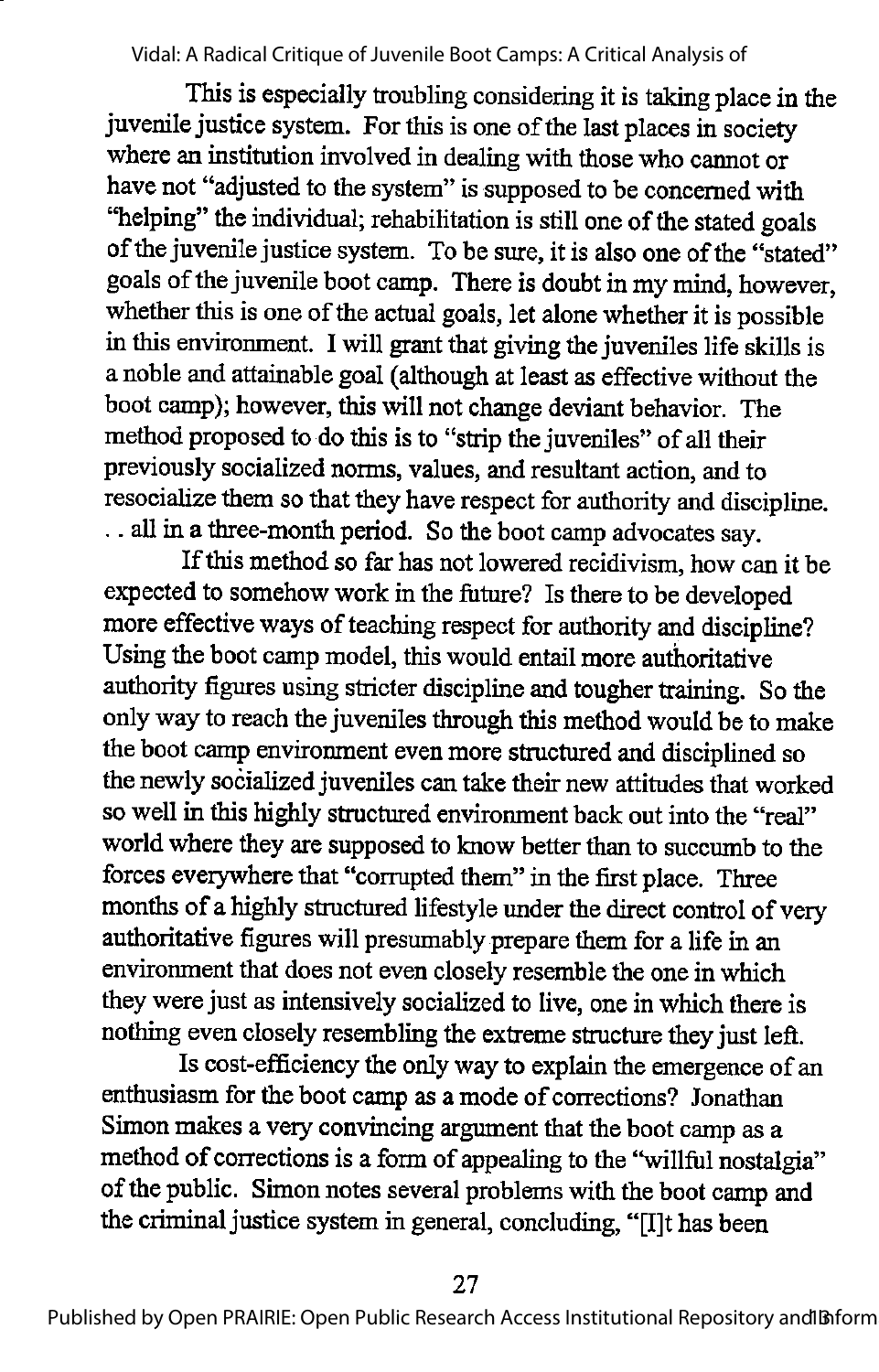This is especially troubling considering it is taking place in the juvenile justice system. For this is one of the last places in society where an institution involved in dealing with those who cannot or have not "adjusted to the system" is supposed to be concerned with "helping" the individual; rehabilitation is still one of the stated goals of the juvenile justice system. To be sure, it is also one of the "stated" goals of the juvenile boot camp. There is doubt in my mind, however, whether this is one of the actual goals, let alone whether it is possible in this environment. I will grant that giving the juveniles life skills is a noble and attainable goal (although at least as effective without the boot camp); however, this will not changedeviant behavior. The method proposed to do this is to "strip the juveniles" of all their previously socialized norms, values, and resultant action, and to resocialize them so that they have respect for authority and discipline. .. all in a three-month period. So the boot camp advocates say.

If this method so far has not lowered recidivism, how can it be expected to somehow work in the future? Is there to be developed more effective ways of teaching respect for authority and discipline? Using the boot camp model, this would entail more authoritative authority figures using stricter discipline and tougher training. Sothe only way to reach the juveniles through this method would be to make the boot camp environment even more structured and disciplined so the newly socialized juveniles can take their new attitudes that worked so well in this highly structured environment back out into the "real" world where they are supposed to know better than to succumb to the forces everywhere that "corrupted them" in the first place. Three months of a highly structured lifestyle under the direct control of very authoritative figures will presumably prepare them for a life in an environment that does not even closely resemble the one in which they were just as intensively socialized to live, one in which there is nothing even closely resembling the extreme structure theyjust left.

Is cost-efficiency the onlyway to explain the emergence of an enthusiasm for the boot camp as a mode of corrections? Jonathan Simon makes a very convincing argument that the boot camp as a method of corrections is a form of appealing to the "willful nostalgia" of the public. Simon notes several problems with the boot camp and the criminal justice system in general, concluding, "[I]t has been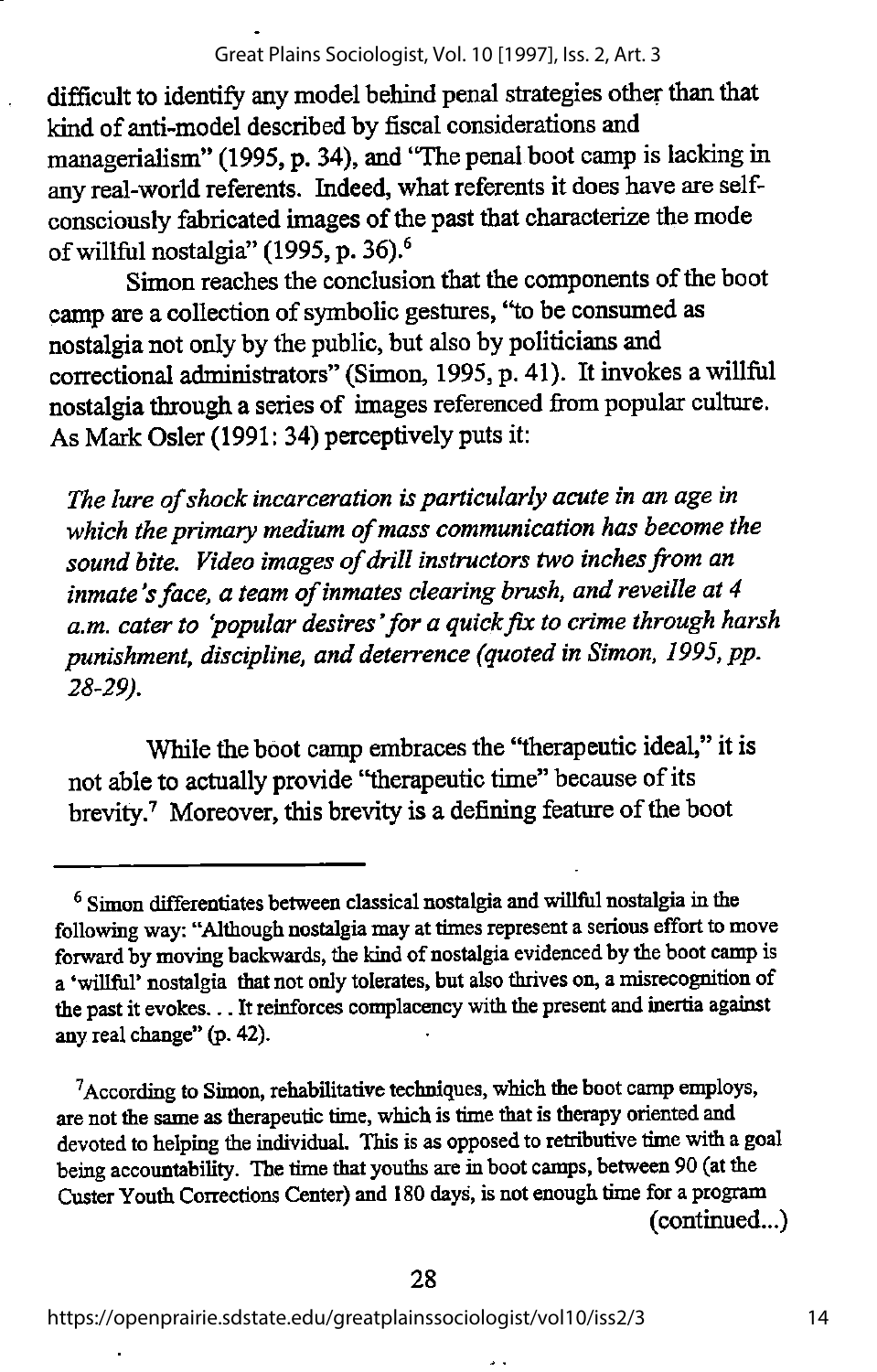difficult to identify any model behind penal strategies other than that kind of anti-model described by fiscal considerations and managerialism" (1995, p. 34), and "The penal boot camp is lacking in any real-world referents. Indeed, what referents it does have are selfconsciously fabricated images of the past that characterize the mode of willful nostalgia" (1995, p. 36).®

Simon reaches the conclusion that the components of the boot camp are a collection of symbolic gestures, "to be consumed as nostalgia not onlyby the public, but alsoby politicians and correctional administrators" (Simon, 1995, p. 41). It invokes a willful nostalgia through a series of images referenced firom popular culture. As Mark Osier (1991: 34) perceptively puts it:

The lure of shock incarceration is particularly acute in an age in which the primary medium of mass communication has become the sound bite. Video images of drill instructors two inches from an inmate's face, a team of inmates clearing brush, and reveille at 4 a.m. cater to 'popular desires' for a quick fix to crime through harsh punishment, discipline, and deterrence (quoted in Simon, 1995, pp. 28-29).

While the boot camp embraces the "therapeutic ideal," it is not able to actually provide "therapeutic time" because of its brevity.<sup>7</sup> Moreover, this brevity is a defining feature of the boot

<sup>&</sup>lt;sup>6</sup> Simon differentiates between classical nostalgia and willful nostalgia in the following way: "Although nostalgia may at times represent a serious effort to move forward by moving backwards, the kind of nostalgia evidenced by the boot camp is a 'willful' nostalgia that not only tolerates, but also thrives on, a misrecognition of the past it evokes... Itreinforces complacency with the present and inertia against any real change" (p. 42).

 $7$ According to Simon, rehabilitative techniques, which the boot camp employs, are not the same as therapeutic time, which is time that is therapy oriented and devoted to helping the individual. This is as opposed to retributive time with a goal being accountability. The time that youths are in boot camps, between 90 (at the CusterYouth Corrections Center) and 180days, is not enough time for a program (continued...)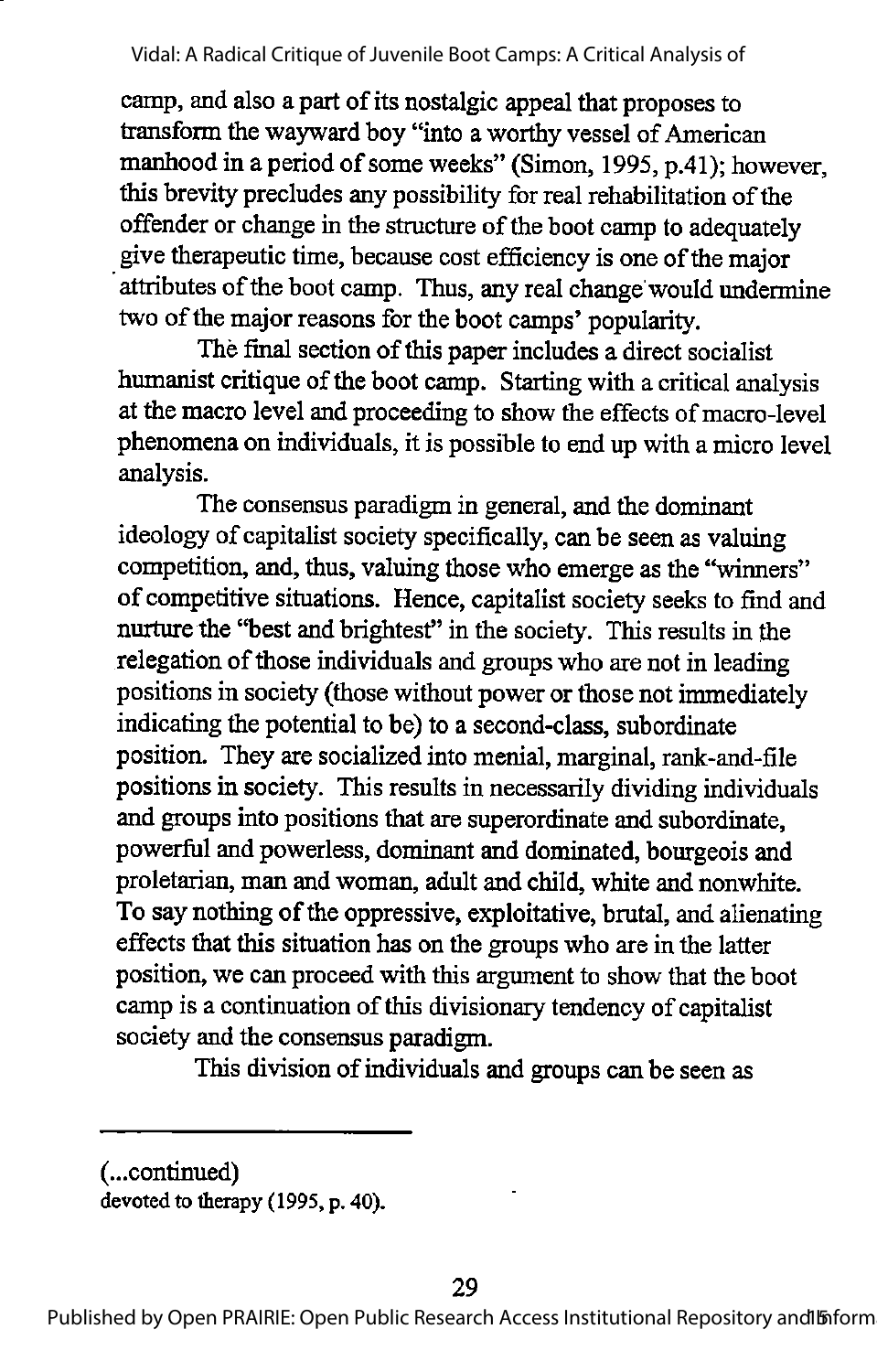camp, and also a part of its nostalgic appeal that proposes to transform the wayward boy "into a worthy vessel of American manhood in a period of some weeks" (Simon, 1995, p.41); however, this brevity precludes any possibility for real rehabilitation of the offender or change in the structure of the boot camp to adequately give therapeutic time, because cost efficiency is one of the major attributes of the boot camp. Thus, any real change would undermine two of the major reasons for the boot camps' popularity.

The final section of this paper includes a direct socialist humanist critique of the boot camp. Starting with a critical analysis at the macro level and proceeding to show the effects of macro-level phenomena on individuals, it is possible to end up with a micro level analysis.

The consensus paradigm in general, and the dominant ideology of capitalist society specifically, can be seen as valuing competition, and, thus, valuing those who emerge as the "winners" of competitive situations. Hence, capitalist society seeks to find and nurture the "best and brightest" in the society. This results in the relegation of those individuals and groups who are not in leading positions in society (those without power or those not immediately indicating the potential to be) to a second-class, subordinate position. They are socialized into menial, marginal, rank-and-file positions in society. This results in necessarily dividing individuals and groups into positions that are superordinate and subordinate, powerful and powerless, dominant and dominated, bourgeois and proletarian, man and woman, adult and child, white and nonwhite. To say nothing of the oppressive, exploitative, brutal, and alienating effects that this situation has on the groups who are in the latter position, we can proceed with this argument to show that the boot campis a continuation of this divisionary tendency of capitalist society and the consensus paradigm.

This division of individuals and groups can be seen as

<sup>(...</sup>continued) devoted to therapy (1995, p. 40).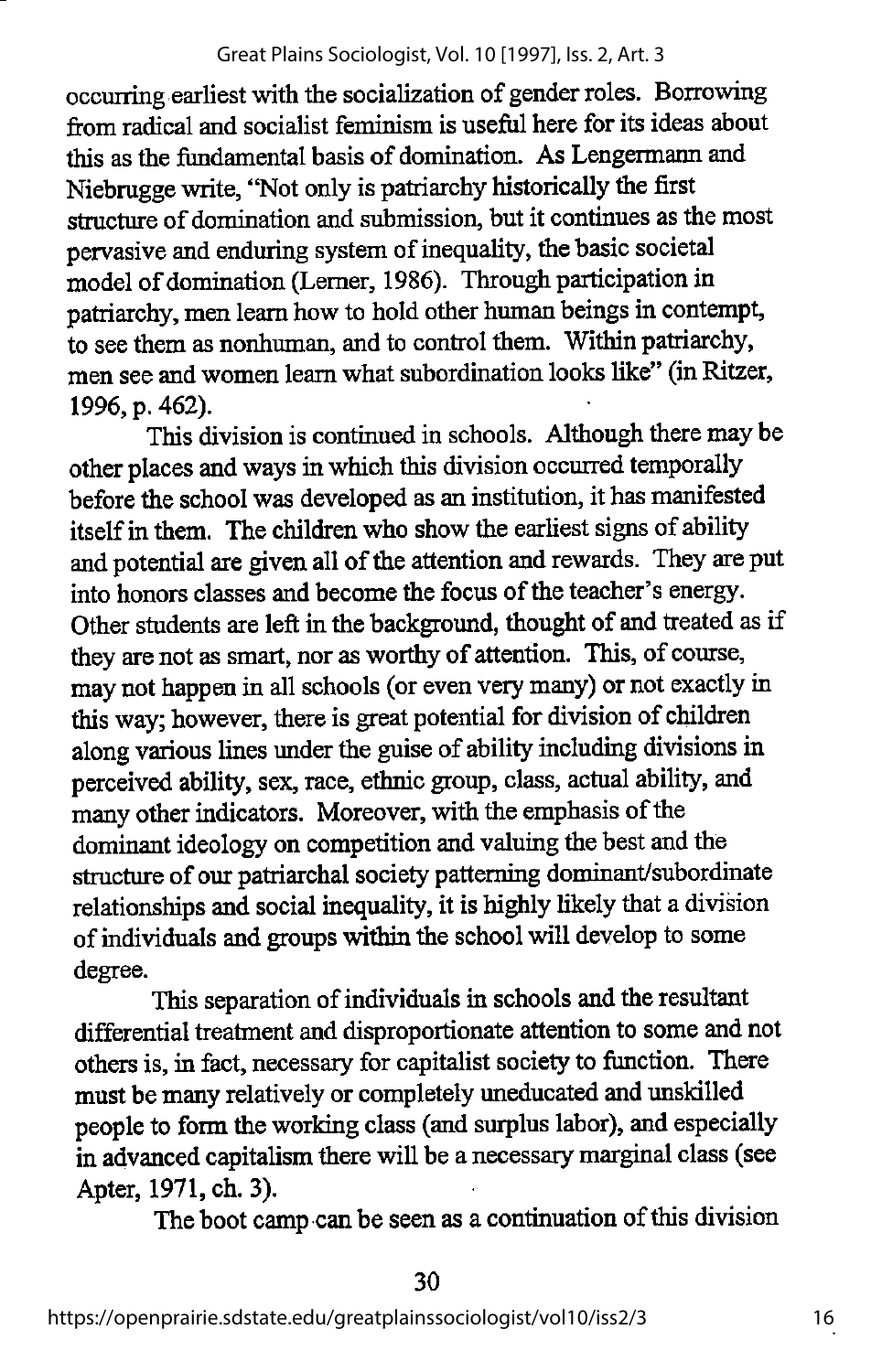occurring earliest with the socialization of gender roles. Borrowing from radical and socialist feminism is useful here for its ideas about this as the fundamental basis of domination. As Lengermann and Niebrugge write, "Not only is patriarchy historically the first structure of domination and submission, but it continues as the most pervasive and enduring system of inequality, the basic societal model of domination (Lerner, 1986). Through participation in patriarchy, men learn how to hold other human beings in contempt, to see them as nonhuman, and to control them. Within patriarchy, men see and women leam what subordination looks like" (in Ritzer, 1996, p. 462).

This division is continued in schools. Although there may be other places and ways inwhich this division occurred temporally before the school was developed as an institution, it has manifested itself in them. The children who show the earliest signs of ability and potential are given all of the attention and rewards. They are put into honors classes and become the focus of the teacher's energy. Other students are left in the background, thought of and treated as if they are not as smart, nor as worthy of attention. This, of course, may not happen in all schools (or even very many) or not exactly in this way; however, there is great potential for division of children along various lines under the guise of ability including divisions in perceived ability, sex, race, ethnic group, class, actual ability, and many other indicators. Moreover, with the emphasis of the dominant ideology on competition and valuing the best and the structure of our patriarchal society patterning dominant/subordinate relationships and social inequality, it is highly likely that a division of individuals and groups within the school will develop to some degree.

This separation of individuals in schools and the resultant differential treatment and disproportionate attention to some and not others is, in fact, necessary for capitalist society to function. There must be many relatively or completely uneducated and unskilled people to form theworking class (and surplus labor), and especially in advanced capitalism there will be a necessary marginal class (see Apter, 1971, ch. 3).

The boot camp can be seen as a continuation of this division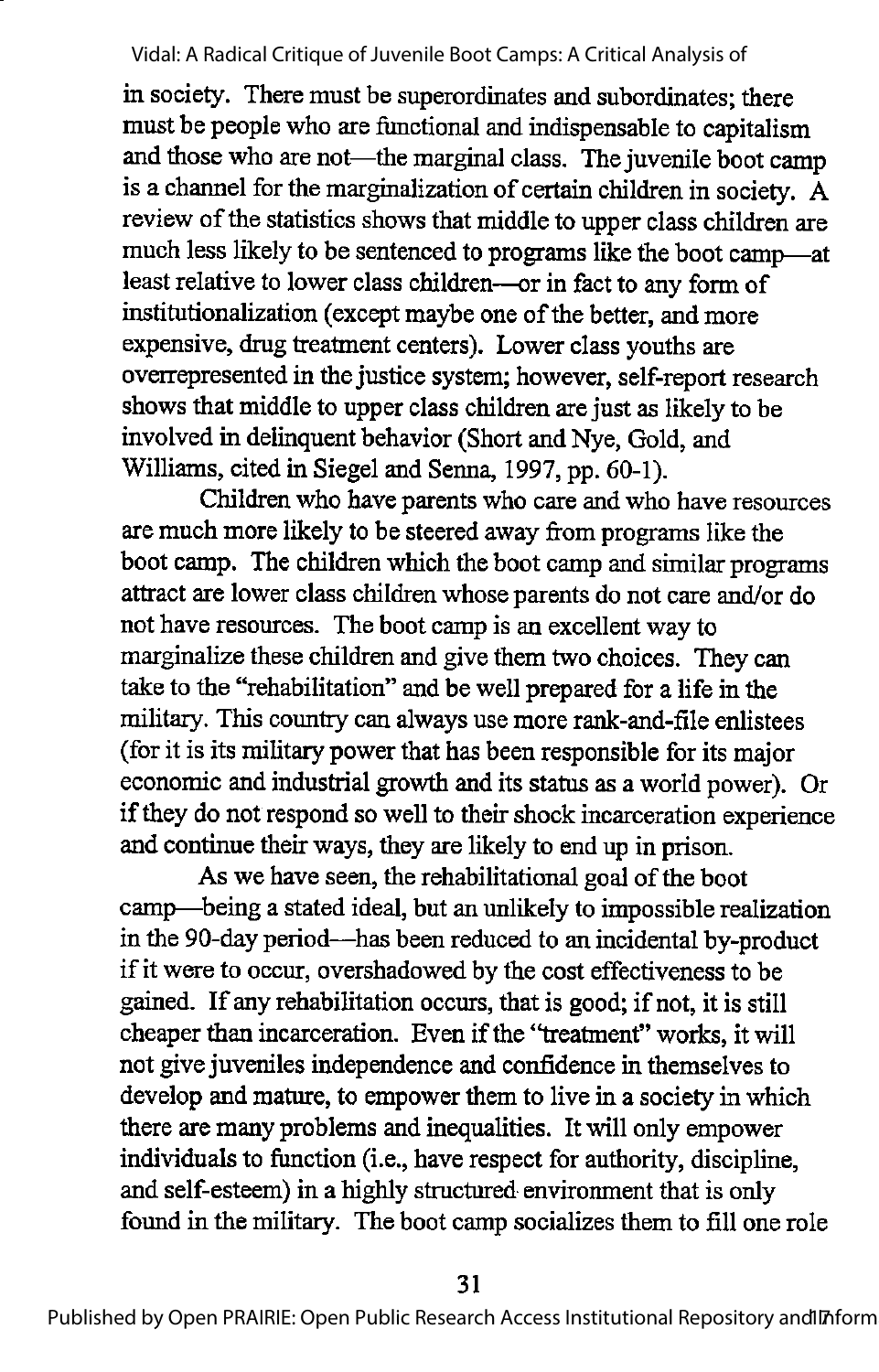in society. There must be superordinates and subordinates; there must be people who are functional and indispensable to capitalism and those who are not—the marginal class. The juvenile boot camp is a channel for the marginalization of certain children in society.  $\overline{A}$ review of the statistics shows that middle to upper class children are much less likely to be sentenced to programs like the boot camp—at least relative to lower class children—or in fact to any form of institutionalization (except maybe one of the better, and more expensive, drug treatment centers). Lower class youths are overrepresented in the justice system; however, self-report research shows that middle to upper class children are just as likely to be involved in delinquent behavior (Short and Nye, Gold, and Williams, cited in Siegel and Senna, 1997, pp. 60-1).

Children who have parents who care and who have resources are much more likely to be steered away from programs like the boot camp. The children which the boot camp and similar programs attract are lower class children whose parents do not care and/or do not have resources. The boot camp is an excellentway to marginalize these children and give them two choices. They can take to the ''rehabilitation" and be well prepared for a life in the military. This country can always use more rank-and-file enlistees (for it is its military power that has been responsible for its major economic and industrial growth and its status as a world power). Or if they do not respond so well to their shock incarceration experience and continue their ways, they are likely to end up in prison.

As we have seen, the rehabilitational goal of the boot camp—^being a stated ideal, but an unlikely to impossible realization in the 90-day period—has been reduced to an incidental by-product if it were to occur, overshadowed by the cost effectiveness to be gained. If any rehabilitation occurs, that is good; if not, it is still cheaper than incarceration. Even if the "treatment" works, it will not give juveniles independence and confidence in themselves to develop and mature, to empower them to live in a society in which there are many problems and inequalities. It will only empower individuals to function (i.e., have respect for authority, discipline, and self-esteem) in a highly structured environment that is only found in the military. The boot camp socializes them to fill one role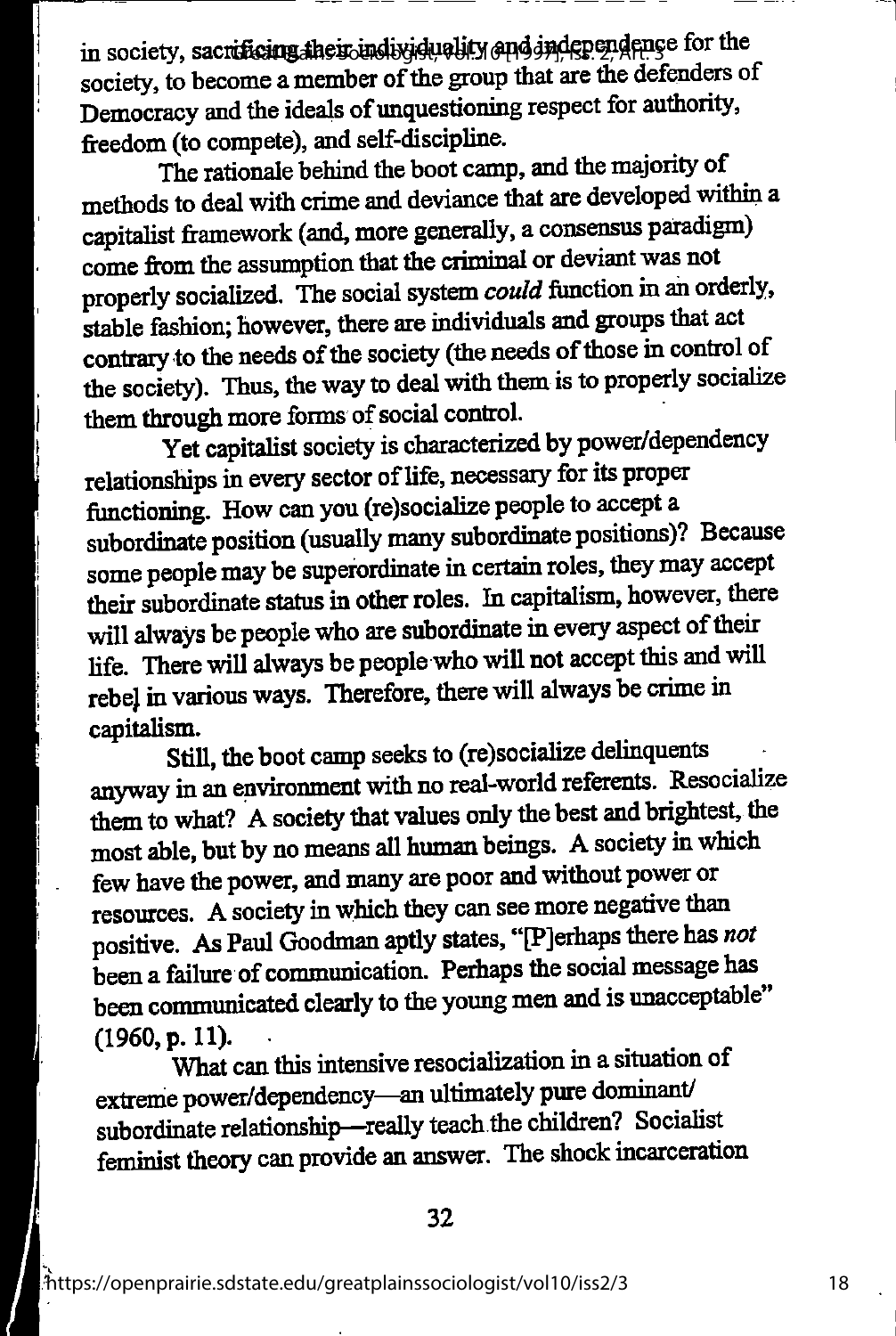in society, sacrificing the sound by duality and independence for the society, to become a member of the group that are the defenders of Democracy and the ideals of unquestioning respect for authority, freedom (to compete), and self-discipline.

The rationale behind the boot camp, and the majority of methods to deal with crime and deviance that are developed within a capitalist framework (and, more generally, a consensus paradigm) come from the assumption that the criminal or deviant was not properly socialized. The social system could function in an orderly, stable fashion; however, there are individuals and groups that act contrary to the needs of the society (the needs of those in control of the society). Thus, the way to deal with them is to properly socialize them through more forms of social control.

Yet capitalist society is characterized by power/dependency relationships in every sector of life, necessary for its proper functioning. How can you (re)socialize people to accept a subordinate position (usually many subordinate positions)? Because some people may be superordinate in certain roles, they may accept their subordinate status in other roles. In capitalism, however, there will always be people who are subordinate in every aspect of their life. There will always be people who will not accept this and will rebej in various ways. Therefore, there will always be crime in capitalism.

Still, the boot camp seeks to (re)socialize delinquents anjway in an environment with no real-world referents. Resocialize them to what? A society that values only the best and brightest, the most able, but by no means all human beings. A society in which few have the power, and many are poor and without power or resources. A society in which they can see more negative than positive. As Paul Goodman aptly states, "[P]erhaps there has not been a failure of communication. Perhaps the social message has been communicated clearly to the young men and is unacceptable"<br>(1960, p. 11). (1960, p. 11). . . . ,

What can this intensive resocialization in a situation of extreme power/dependency—an ultimately pure dominant/ subordinate relationship—really teach the children? Socialist feminist theory can provide an answer. The shock incarceration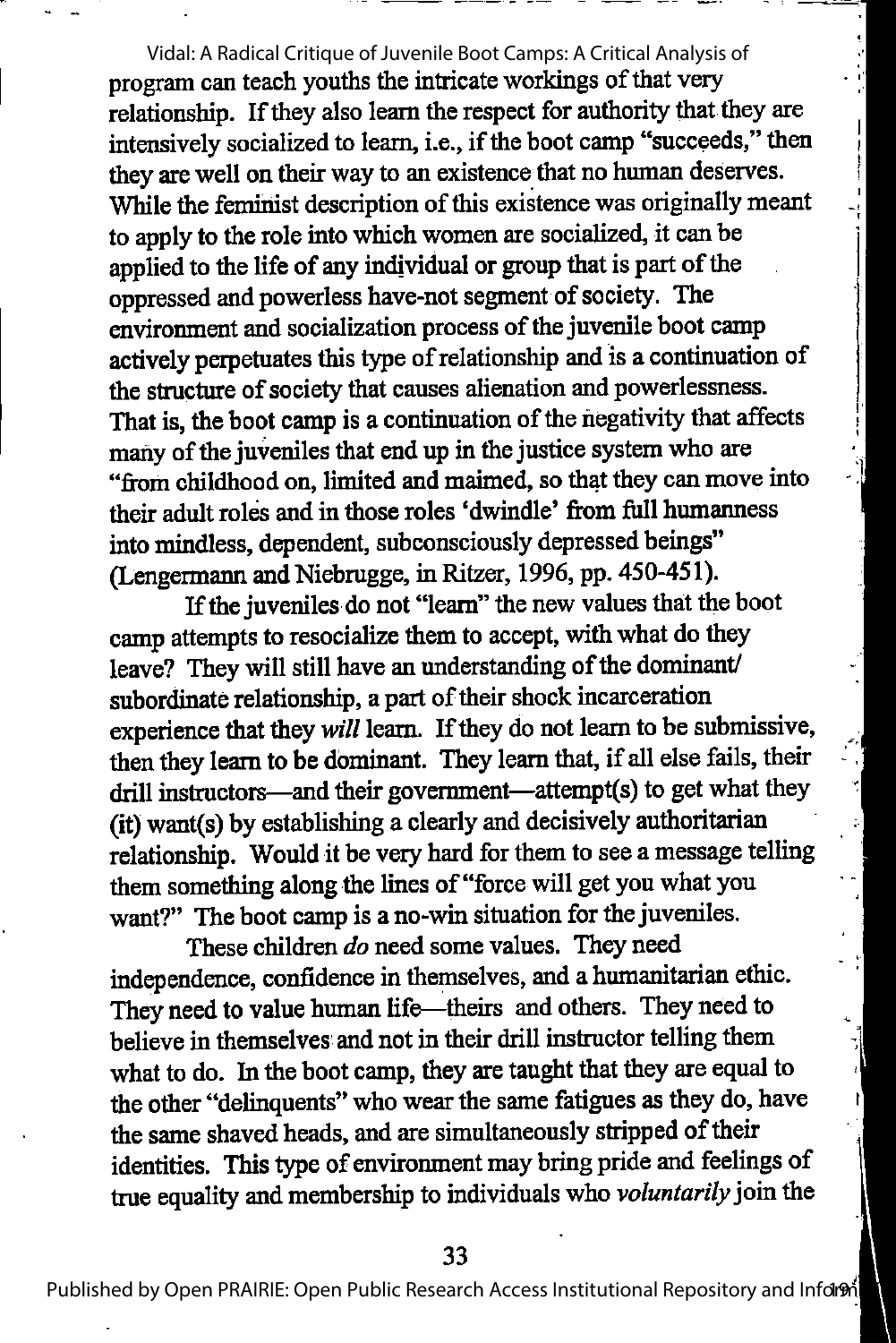program can teach youths the intricate workings of that very relationship. If they also learn the respect for authority that they are intensively socialized to learn, i.e., if the boot camp "succeeds," then they are well on their way to an existence that no human deserves. While the feminist description of this existence was originally meant to apply to the role into which women are socialized, it can be applied to the life of any individual or group that is part of the oppressed and powerless have-not segment of society. The environment and socialization process of the juvenile boot camp actively perpetuates this type ofrelationship and is a continuation of the structure of society that causes alienation and powerlessness. That is, the boot camp is a continuation of the negativity that affects many of the juveniles that end up in the justice system who are "fiom childhood on, limited and maimed, so that they can move into their adult roles and in those roles 'dwindle' from full humanness into mindless, dependent, subconsciously depressed beings" (Lengermann and Niebrugge, in Ritzer, 1996, pp. 450-451). Vidal: A Radical Critique of Juvenile Boot Camps: A Critical Analysis of

If the juveniles do not "leam" the new values that the boot camp attempts to resocialize them to accept, with what do they leave? They will still have an understanding of the dominant/ subordinate relationship, a part of their shock incarceration experience that they will learn. If they do not learn to be submissive, then they learn to be dominant. They learn that, if all else fails, their drill instructors—and their government—attempt(s) to get what they (it) want(s) by establishing a clearly and decisively authoritarian relationship. Would it be very hard for them to see a message telling them something along the lines of "force will get you what you want?" The boot camp is a no-win situation for the juveniles.

These children do need some values. They need independence, confidence in themselves, and a humanitarian ethic. They need to value human life—theirs and others. They need to believe in themselves and not in their drill instructor telling them what to do. In the boot camp, they are taught that they are equal to the other "delinquents" who wear the same fatigues as they do, have the same shaved heads, and are simultaneously stripped of their identities. This type of environment may bring pride and feelings of true equality and membership to individuals who voluntarily join the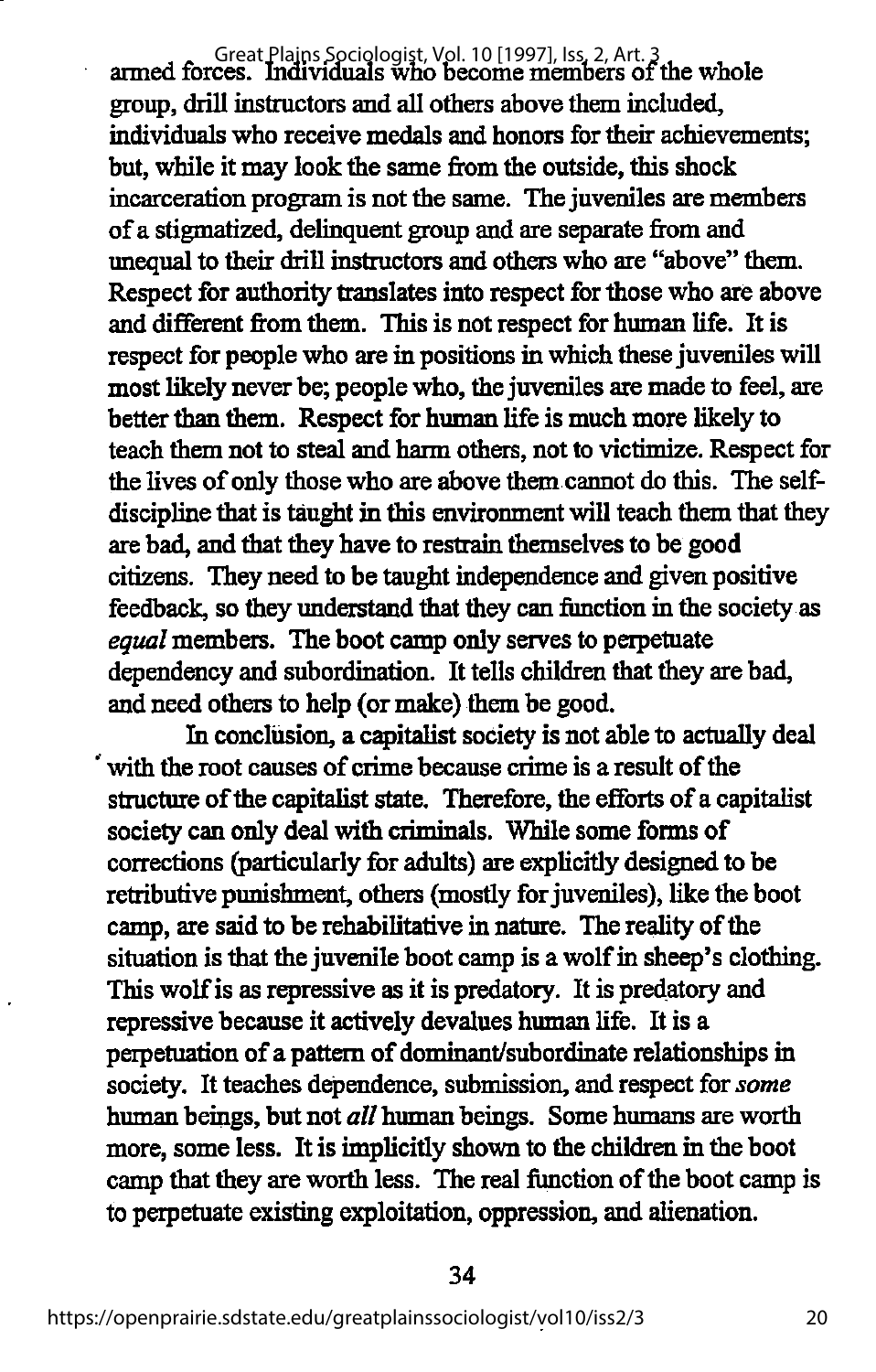Great Plains Sociologist, Vol. 10 [1997], Iss. 2, Art. 3<br>armed forces. Individuals who become members of the whole group, driUinstructors and all others above them included, individuals who receive medals and honors for their achievements; but, while it may look the same from the outside, this shock incarceration program is not the same. The juveniles are members ofa stigmatized, delinquent group and are separate from and unequal to their drill instructors and others who are "above" them. Respect for authority translates into respect for those who are above and different from them. This is not respect for human life. It is respect for people who are in positions in which these juveniles will most likely never be; people who, the juveniles are made to feel, are better than them. Respect for human life is much more likely to teach them not to steal and harm others, not to victimize. Respect for the lives of only those who are above them cannot do this. The selfdiscipline that is taught in this environment will teach them that they are bad, and that they have to restrain themselves to be good citizens. They need to be taught independence and given positive feedback, so they understand that they can function in the society as equal members. The boot camp only serves to perpetuate dependency and subordination. It tells children that they are bad, and need others to help (or make) them be good.

In conclusion, a capitalist society is not able to actually deal with the root causes of crime because crime is a result of the structure of the capitalist state. Therefore, the efforts of a capitalist society can only deal with criminals. While some forms of corrections (particularly for adults) are explicitly designed to be retributive punishment, others (mostly for juveniles), like the boot camp, are said to be rehabilitative in nature. The reality of the situation is that the juvenile boot camp is a wolf in sheep's clothing. This wolf is as repressive as it is predatory. It is predatory and repressive because it actively devalues human life. It is a perpetuation of a pattern of dominant/subordinate relationships in society. It teaches dependence, submission, and respect for some human beings, but not all human beings. Some humans are worth more, some less. It is implicitly shown to the children in the boot camp that they are worth less. The real function of the boot camp is to perpetuate existing exploitation, oppression, and alienation.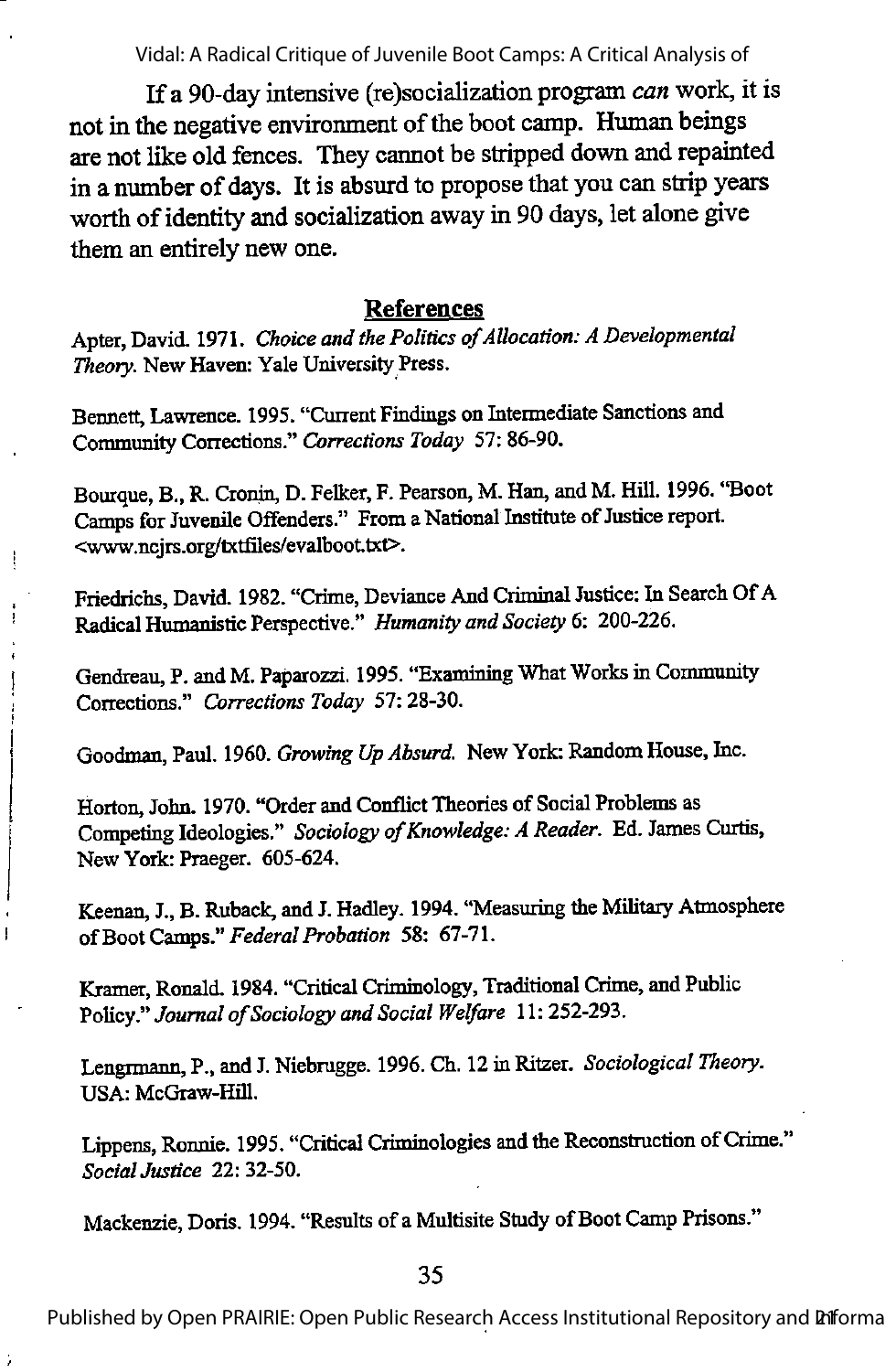If a 90-day intensive (re)socialization program canwork, it is not in the negative environment of the boot camp. Human beings are not like old fences. They cannot be stripped down and repainted in a number of days. It is absurd to propose that you can strip years worth of identity and socialization away in 90 days, let alone give them an entirely new one.

#### References

Apter, David. 1971. Choice and the Politics of Allocation: A Developmental Theory. New Haven: Yale University Press.

Bennett, Lawrence. 1995. "Current Findings on Intermediate Sanctions and Community Corrections." Corrections Today 57:86-90.

ļ

Bourque, B., R. Cronin, D. Felker, F.Pearson, M. Han, and M. Hill. 1996. "Boot Camps for Juvenile Offenders." From a National Institute of Justice report. <www.ncjrs.org/txtfiles/evalboot.txt>.

Friedrichs, David. 1982. "Crime, Deviance And Criminal Justice: In Search Of A Radical Humanistic Perspective." Humanity and Society 6: 200-226.

Gendreau, P. and M. Paparozzi. 1995. "Examining What Works in Community Corrections." Corrections Today 57: 28-30.

Goodman, Paul. 1960. Growing Up Absurd. New York: Random House, Inc.

Horton, John. 1970. "Order and Conflict Theories of Social Problems as Competing Ideologies." Sociology of Knowledge: A Reader. Ed. James Curtis, New York: Praeger. 605-624.

Keenan, J.,B.Ruback, and J.Hadley. 1994. "Measuring the Military Atmosphere of Boot Camps." Federal Probation 58: 67-71.

Kramer, Ronald. 1984. "Critical Criminology, Traditional Crime, and Public Policy." Journal of Sociology and Social Welfare 11: 252-293.

Lengrmann, P., and J. Niebrugge. 1996. Ch. 12 in Ritzer. Sociological Theory. USA: McGraw-Hill.

Lippens, Ronnie. 1995. "Critical Criminologies and the Reconstruction of Crime." Social Justice 22: 32-50.

Mackenzie, Doris. 1994. "Results of a Multisite Study of Boot Camp Prisons."

35

Published by Open PRAIRIE: Open Public Research Access Institutional Repository and **Pif**orma